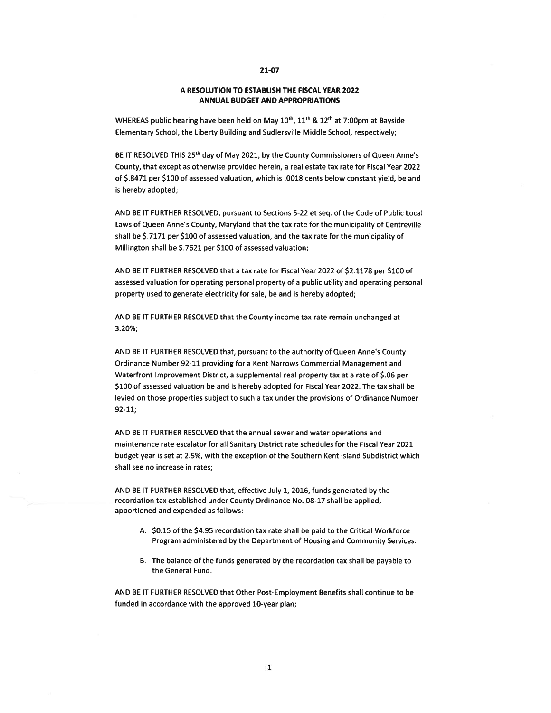#### 21-07

#### A RESOLUTION TO ESTABLISH THE FISCAL YEAR 2022 ANNUAL BUDGET AND APPROPRIATIONS

WHEREAS public hearing have been held on May  $10^{th}$ ,  $11^{th}$  &  $12^{th}$  at 7:00pm at Bayside Elementary School, the Liberty Building and Sudlersville Middle School, respectively;

BE IT RESOLVED THIS 25<sup>th</sup> day of May 2021, by the County Commissioners of Queen Anne's County, that excep<sup>t</sup> as otherwise provided herein, <sup>a</sup> real estate tax rate for Fiscal Year 2022 of \$8471 per \$100 of assessed valuation, which is .0018 cents below constant <sup>y</sup>ield, be and is hereby adopted;

AND BE IT FURTHER RESOLVED, pursuan<sup>t</sup> to Sections 5-22 et seq. of the Code of Public Local Laws of Queen Anne's County, Maryland that the tax rate for the municipality of Centreville shall be \$.7171 per \$100 of assessed valuation, and the tax rate for the municipality of Millington shall be \$.7621 per \$100 of assessed valuation;

AND BE IT FURTHER RESOLVED that <sup>a</sup> tax rate for Fiscal Year 2022 of \$21178 per \$100 of assessed valuation for operating personal property of <sup>a</sup> public utility and operating personal property used to generate electricity for sale, be and is hereby adopted;

AND BE IT FURTHER RESOLVED that the County income tax rate remain unchanged at 3.20%;

AND BE IT FURTHER RESOLVED that, pursuan<sup>t</sup> to the authority of Queen Annes County Ordinance Number 92-11 providing for <sup>a</sup> Kent Narrows Commercial Management and Waterfront Improvement District, <sup>a</sup> supplemental real property tax at <sup>a</sup> rate of \$06 per \$100 of assessed valuation be and is hereby adopted for Fiscal Year 2022. The tax shall be levied on those properties subject to such <sup>a</sup> tax under the provisions of Ordinance Number 92-11;

AND BE IT FURTHER RESOLVED that the annual sewer and water operations and maintenance rate escalator for all Sanitary District rate schedules for the Fiscal Year 2021 budget year is set at 2.5%, with the exception of the Southern Kent Island Subdistrict which shall see no increase in rates;

AND BE IT FURTHER RESOLVED that, effective July 1, 2016, funds generated by the recordation tax established under County Ordinance No. 08-17 shall be applied, apportioned and expended as follows:

- A. \$0.15 of the \$4.95 recordation tax rate shall be paid to the Critical Workforce Program administered by the Department of Housing and Community Services.
- B. The balance of the funds generated by the recordation tax shall be payable to the General Fund.

AND BE IT FURTHER RESOLVED that Other Post-Employment Benefits shall continue to be funded in accordance with the approved 10-year plan;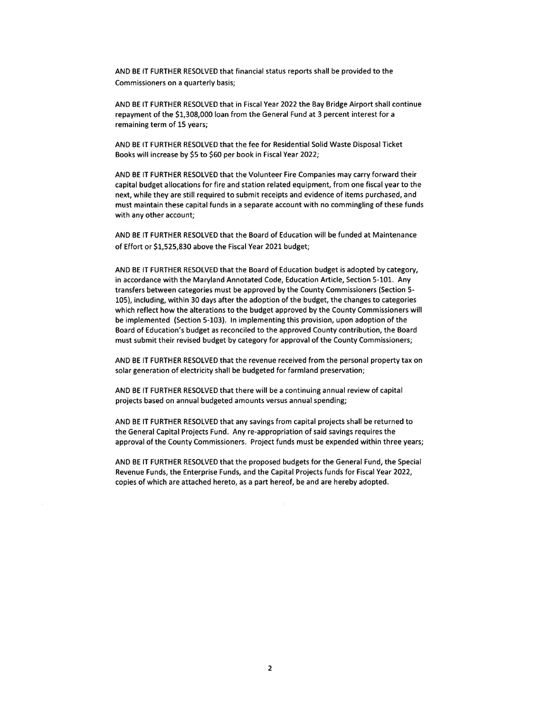AND BE IT FURTHER RESOLVED that financial status reports shall be provided to the Commissioners on <sup>a</sup> quarterly basis;

AND BE IT FURTHER RESOLVED that in Fiscal Year 2022 the Bay Bridge Airport shall continue repaymen<sup>t</sup> of the \$1,308,000 loan from the General Fund at 3 percen<sup>t</sup> interest for <sup>a</sup> remaining term of 15 years;

AND BE IT FURTHER RESOLVED that the fee for Residential Solid Waste Disposal Ticket Books will increase by \$5 to \$60 per book in Fiscal Year 2022;

AND BE IT FURTHER RESOLVED that the Volunteer Fire Companies may carry forward their capital budget allocations for fire and station related equipment, from one fiscal year to the next, while they are still required to submit receipts and evidence of items purchased, and must maintain these capital funds in <sup>a</sup> separate account with no commingling of these funds with any other account;

AND BE IT FURTHER RESOLVED that the Board of Education will be funded at Maintenance of Effort or \$1,525,830 above the Fiscal Year 2021 budget;

AND BE IT FURTHER RESOLVED that the Board of Education budget is adopted by category, in accordance with the Maryland Annotated Code, Education Article, Section 5-101. Any transfers between categories must be approved by the County Commissioners (Section 5- 105), including, within 30 days after the adoption of the budget, the changes to categories which reflect how the alterations to the budget approved by the County Commissioners will be implemented (Section 5-103). In implementing this provision, upon adoption of the Board of Education's budget as reconciled to the approved County contribution, the Board must submit their revised budget by category for approval of the County Commissioners;

AND BE IT FURTHER RESOLVED that the revenue received from the personal property tax on solar generation of electricity shall be budgeted for farmland preservation;

AND BE IT FURTHER RESOLVED that there will be <sup>a</sup> continuing annual review of capital projects based on annual budgeted amounts versus annual spending;

AND BE IT FURTHER RESOLVED that any savings from capital projects shall be returned to the General Capital Projects Fund. Any re-appropriation of said savings requires the approval of the County Commissioners. Project funds must be expended within three years;

AND BE IT FURTHER RESOLVED that the proposed budgets for the General Fund, the Special Revenue Funds, the Enterprise Funds, and the Capital Projects funds for Fiscal Year 2022, copies of which are attached hereto, as <sup>a</sup> par<sup>t</sup> hereof, be and are hereby adopted.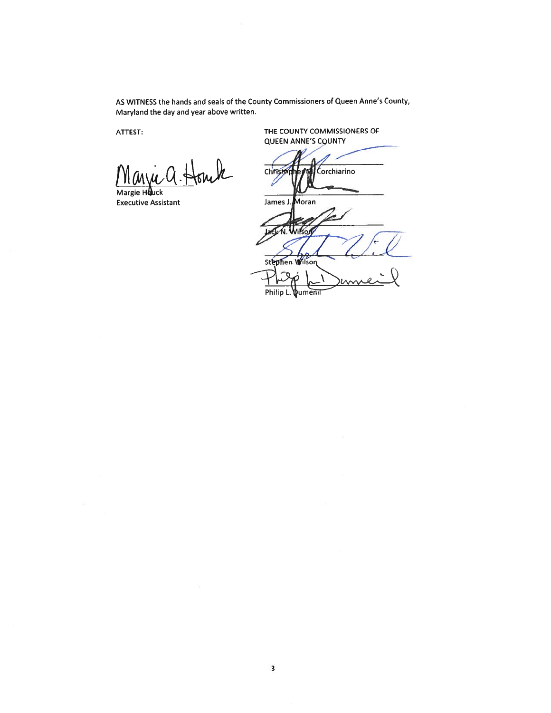AS WITNESS the hands and seals of the County Commissioners of Queen Anne's County, Maryland the day and year above written.

 $k$ 

Margie Houck Executive Assistant

ATTEST: THE COUNTY COMMISSIONERS OF QUEEN ANNE'S COUNTY

Christo Corchiarino í

James J. Moran Wikog Ń Stephen Wilson  $\tau_{\mathbf{Q}}$ 

Philip L. **\**umenii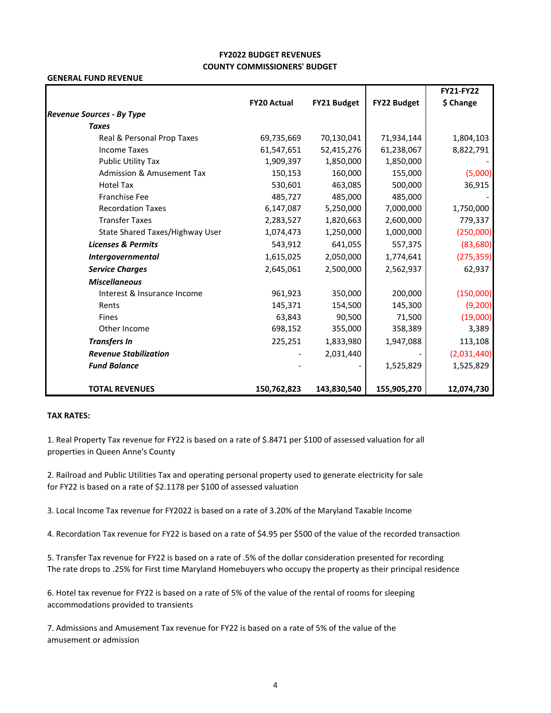# **FY2022 BUDGET REVENUES COUNTY COMMISSIONERS' BUDGET**

#### **GENERAL FUND REVENUE**

|                                      |                    |             |             | <b>FY21-FY22</b> |
|--------------------------------------|--------------------|-------------|-------------|------------------|
|                                      | <b>FY20 Actual</b> | FY21 Budget | FY22 Budget | \$ Change        |
| <b>Revenue Sources - By Type</b>     |                    |             |             |                  |
| <b>Taxes</b>                         |                    |             |             |                  |
| Real & Personal Prop Taxes           | 69,735,669         | 70,130,041  | 71,934,144  | 1,804,103        |
| <b>Income Taxes</b>                  | 61,547,651         | 52,415,276  | 61,238,067  | 8,822,791        |
| <b>Public Utility Tax</b>            | 1,909,397          | 1,850,000   | 1,850,000   |                  |
| <b>Admission &amp; Amusement Tax</b> | 150,153            | 160,000     | 155,000     | (5,000)          |
| <b>Hotel Tax</b>                     | 530,601            | 463,085     | 500,000     | 36,915           |
| <b>Franchise Fee</b>                 | 485,727            | 485,000     | 485,000     |                  |
| <b>Recordation Taxes</b>             | 6,147,087          | 5,250,000   | 7,000,000   | 1,750,000        |
| <b>Transfer Taxes</b>                | 2,283,527          | 1,820,663   | 2,600,000   | 779,337          |
| State Shared Taxes/Highway User      | 1,074,473          | 1,250,000   | 1,000,000   | (250,000)        |
| <b>Licenses &amp; Permits</b>        | 543,912            | 641,055     | 557,375     | (83,680)         |
| Intergovernmental                    | 1,615,025          | 2,050,000   | 1,774,641   | (275, 359)       |
| <b>Service Charges</b>               | 2,645,061          | 2,500,000   | 2,562,937   | 62,937           |
| <b>Miscellaneous</b>                 |                    |             |             |                  |
| Interest & Insurance Income          | 961,923            | 350,000     | 200,000     | (150,000)        |
| Rents                                | 145,371            | 154,500     | 145,300     | (9,200)          |
| <b>Fines</b>                         | 63,843             | 90,500      | 71,500      | (19,000)         |
| Other Income                         | 698,152            | 355,000     | 358,389     | 3,389            |
| <b>Transfers In</b>                  | 225,251            | 1,833,980   | 1,947,088   | 113,108          |
| <b>Revenue Stabilization</b>         |                    | 2,031,440   |             | (2,031,440)      |
| <b>Fund Balance</b>                  |                    |             | 1,525,829   | 1,525,829        |
| <b>TOTAL REVENUES</b>                | 150,762,823        | 143,830,540 | 155,905,270 | 12,074,730       |

#### **TAX RATES:**

1. Real Property Tax revenue for FY22 is based on a rate of \$.8471 per \$100 of assessed valuation for all properties in Queen Anne's County

2. Railroad and Public Utilities Tax and operating personal property used to generate electricity for sale for FY22 is based on a rate of \$2.1178 per \$100 of assessed valuation

3. Local Income Tax revenue for FY2022 is based on a rate of 3.20% of the Maryland Taxable Income

4. Recordation Tax revenue for FY22 is based on a rate of \$4.95 per \$500 of the value of the recorded transaction

5. Transfer Tax revenue for FY22 is based on a rate of .5% of the dollar consideration presented for recording The rate drops to .25% for First time Maryland Homebuyers who occupy the property as their principal residence

6. Hotel tax revenue for FY22 is based on a rate of 5% of the value of the rental of rooms for sleeping accommodations provided to transients

7. Admissions and Amusement Tax revenue for FY22 is based on a rate of 5% of the value of the amusement or admission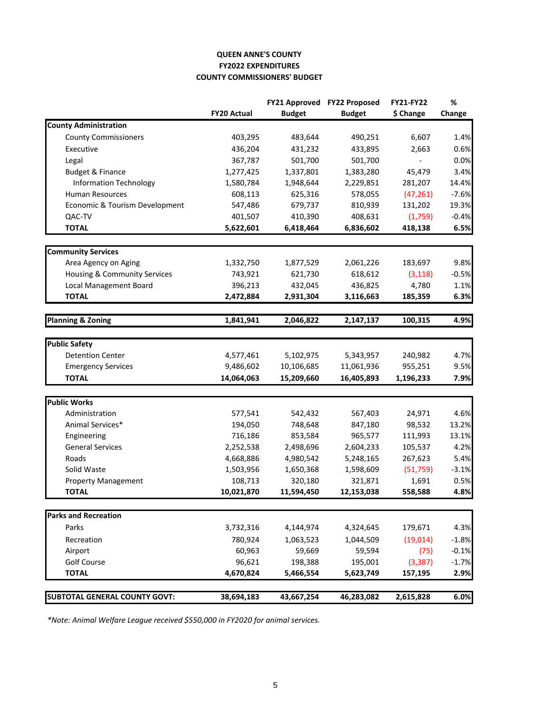# **QUEEN ANNE'S COUNTY FY2022 EXPENDITURES COUNTY COMMISSIONERS' BUDGET**

|                                      |                    |               | FY21 Approved FY22 Proposed | <b>FY21-FY22</b> | %       |
|--------------------------------------|--------------------|---------------|-----------------------------|------------------|---------|
|                                      | <b>FY20 Actual</b> | <b>Budget</b> | <b>Budget</b>               | \$ Change        | Change  |
| <b>County Administration</b>         |                    |               |                             |                  |         |
| <b>County Commissioners</b>          | 403,295            | 483,644       | 490,251                     | 6,607            | 1.4%    |
| Executive                            | 436,204            | 431,232       | 433,895                     | 2,663            | 0.6%    |
| Legal                                | 367,787            | 501,700       | 501,700                     |                  | 0.0%    |
| <b>Budget &amp; Finance</b>          | 1,277,425          | 1,337,801     | 1,383,280                   | 45,479           | 3.4%    |
| <b>Information Technology</b>        | 1,580,784          | 1,948,644     | 2,229,851                   | 281,207          | 14.4%   |
| <b>Human Resources</b>               | 608,113            | 625,316       | 578,055                     | (47, 261)        | $-7.6%$ |
| Economic & Tourism Development       | 547,486            | 679,737       | 810,939                     | 131,202          | 19.3%   |
| QAC-TV                               | 401,507            | 410,390       | 408,631                     | (1,759)          | $-0.4%$ |
| <b>TOTAL</b>                         | 5,622,601          | 6,418,464     | 6,836,602                   | 418,138          | 6.5%    |
|                                      |                    |               |                             |                  |         |
| <b>Community Services</b>            |                    |               |                             |                  |         |
| Area Agency on Aging                 | 1,332,750          | 1,877,529     | 2,061,226                   | 183,697          | 9.8%    |
| Housing & Community Services         | 743,921            | 621,730       | 618,612                     | (3, 118)         | $-0.5%$ |
| Local Management Board               | 396,213            | 432,045       | 436,825                     | 4,780            | 1.1%    |
| <b>TOTAL</b>                         | 2,472,884          | 2,931,304     | 3,116,663                   | 185,359          | 6.3%    |
| <b>Planning &amp; Zoning</b>         | 1,841,941          | 2,046,822     | 2,147,137                   | 100,315          | 4.9%    |
|                                      |                    |               |                             |                  |         |
| <b>Public Safety</b>                 |                    |               |                             |                  |         |
| <b>Detention Center</b>              | 4,577,461          | 5,102,975     | 5,343,957                   | 240,982          | 4.7%    |
| <b>Emergency Services</b>            | 9,486,602          | 10,106,685    | 11,061,936                  | 955,251          | 9.5%    |
| <b>TOTAL</b>                         | 14,064,063         | 15,209,660    | 16,405,893                  | 1,196,233        | 7.9%    |
|                                      |                    |               |                             |                  |         |
| <b>Public Works</b>                  |                    |               |                             |                  |         |
| Administration                       | 577,541            | 542,432       | 567,403                     | 24,971           | 4.6%    |
| Animal Services*                     | 194,050            | 748,648       | 847,180                     | 98,532           | 13.2%   |
| Engineering                          | 716,186            | 853,584       | 965,577                     | 111,993          | 13.1%   |
| <b>General Services</b>              | 2,252,538          | 2,498,696     | 2,604,233                   | 105,537          | 4.2%    |
| Roads                                | 4,668,886          | 4,980,542     | 5,248,165                   | 267,623          | 5.4%    |
| Solid Waste                          | 1,503,956          | 1,650,368     | 1,598,609                   | (51, 759)        | $-3.1%$ |
| <b>Property Management</b>           | 108,713            | 320,180       | 321,871                     | 1,691            | 0.5%    |
| <b>TOTAL</b>                         | 10,021,870         | 11,594,450    | 12,153,038                  | 558,588          | 4.8%    |
| <b>Parks and Recreation</b>          |                    |               |                             |                  |         |
| Parks                                | 3,732,316          | 4,144,974     | 4,324,645                   | 179,671          | 4.3%    |
| Recreation                           | 780,924            | 1,063,523     | 1,044,509                   | (19, 014)        | $-1.8%$ |
| Airport                              | 60,963             | 59,669        | 59,594                      | (75)             | $-0.1%$ |
| Golf Course                          | 96,621             | 198,388       | 195,001                     | (3, 387)         | $-1.7%$ |
| <b>TOTAL</b>                         | 4,670,824          | 5,466,554     | 5,623,749                   | 157,195          | 2.9%    |
|                                      |                    |               |                             |                  |         |
| <b>SUBTOTAL GENERAL COUNTY GOVT:</b> | 38,694,183         | 43,667,254    | 46,283,082                  | 2,615,828        | 6.0%    |

*\*Note: Animal Welfare League received \$550,000 in FY2020 for animal services.*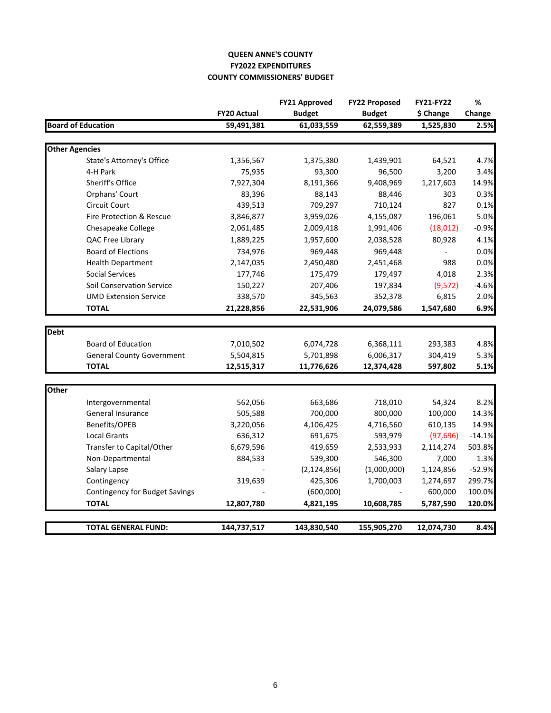# **QUEEN ANNE'S COUNTY FY2022 EXPENDITURES COUNTY COMMISSIONERS' BUDGET**

|                       |                                  |                    | <b>FY21 Approved</b> | <b>FY22 Proposed</b> | <b>FY21-FY22</b> | %        |
|-----------------------|----------------------------------|--------------------|----------------------|----------------------|------------------|----------|
|                       |                                  | <b>FY20 Actual</b> | <b>Budget</b>        | <b>Budget</b>        | \$ Change        | Change   |
|                       | <b>Board of Education</b>        | 59,491,381         | 61,033,559           | 62,559,389           | 1,525,830        | 2.5%     |
| <b>Other Agencies</b> |                                  |                    |                      |                      |                  |          |
|                       | State's Attorney's Office        | 1,356,567          | 1,375,380            | 1,439,901            |                  | 4.7%     |
|                       | 4-H Park                         | 75,935             | 93,300               | 96,500               | 64,521<br>3,200  | 3.4%     |
|                       | <b>Sheriff's Office</b>          | 7,927,304          | 8,191,366            | 9,408,969            | 1,217,603        | 14.9%    |
|                       |                                  | 83,396             | 88,143               | 88,446               | 303              | 0.3%     |
|                       | Orphans' Court                   |                    | 709,297              |                      |                  |          |
|                       | Circuit Court                    | 439,513            |                      | 710,124              | 827              | 0.1%     |
|                       | Fire Protection & Rescue         | 3,846,877          | 3,959,026            | 4,155,087            | 196,061          | 5.0%     |
|                       | Chesapeake College               | 2,061,485          | 2,009,418            | 1,991,406            | (18, 012)        | $-0.9%$  |
|                       | QAC Free Library                 | 1,889,225          | 1,957,600            | 2,038,528            | 80,928           | 4.1%     |
|                       | <b>Board of Elections</b>        | 734,976            | 969,448              | 969,448              |                  | 0.0%     |
|                       | <b>Health Department</b>         | 2,147,035          | 2,450,480            | 2,451,468            | 988              | 0.0%     |
|                       | <b>Social Services</b>           | 177,746            | 175,479              | 179,497              | 4,018            | 2.3%     |
|                       | Soil Conservation Service        | 150,227            | 207,406              | 197,834              | (9,572)          | $-4.6%$  |
|                       | <b>UMD Extension Service</b>     | 338,570            | 345,563              | 352,378              | 6,815            | 2.0%     |
|                       | <b>TOTAL</b>                     | 21,228,856         | 22,531,906           | 24,079,586           | 1,547,680        | 6.9%     |
| <b>Debt</b>           |                                  |                    |                      |                      |                  |          |
|                       | <b>Board of Education</b>        | 7,010,502          | 6,074,728            | 6,368,111            | 293,383          | 4.8%     |
|                       | <b>General County Government</b> | 5,504,815          | 5,701,898            | 6,006,317            | 304,419          | 5.3%     |
|                       | <b>TOTAL</b>                     | 12,515,317         | 11,776,626           | 12,374,428           | 597,802          | 5.1%     |
|                       |                                  |                    |                      |                      |                  |          |
| Other                 |                                  |                    |                      |                      |                  |          |
|                       | Intergovernmental                | 562,056            | 663,686              | 718,010              | 54,324           | 8.2%     |
|                       | General Insurance                | 505,588            | 700,000              | 800,000              | 100,000          | 14.3%    |
|                       | Benefits/OPEB                    | 3,220,056          | 4,106,425            | 4,716,560            | 610,135          | 14.9%    |
|                       | <b>Local Grants</b>              | 636,312            | 691,675              | 593,979              | (97, 696)        | $-14.1%$ |
|                       | Transfer to Capital/Other        | 6,679,596          | 419,659              | 2,533,933            | 2,114,274        | 503.8%   |
|                       | Non-Departmental                 | 884,533            | 539,300              | 546,300              | 7,000            | 1.3%     |
|                       | Salary Lapse                     |                    | (2, 124, 856)        | (1,000,000)          | 1,124,856        | $-52.9%$ |
|                       | Contingency                      | 319,639            | 425,306              | 1,700,003            | 1,274,697        | 299.7%   |
|                       | Contingency for Budget Savings   |                    | (600,000)            |                      | 600,000          | 100.0%   |
|                       | <b>TOTAL</b>                     | 12,807,780         | 4,821,195            | 10,608,785           | 5,787,590        | 120.0%   |
|                       |                                  |                    |                      |                      |                  |          |
|                       | <b>TOTAL GENERAL FUND:</b>       | 144,737,517        | 143,830,540          | 155,905,270          | 12,074,730       | 8.4%     |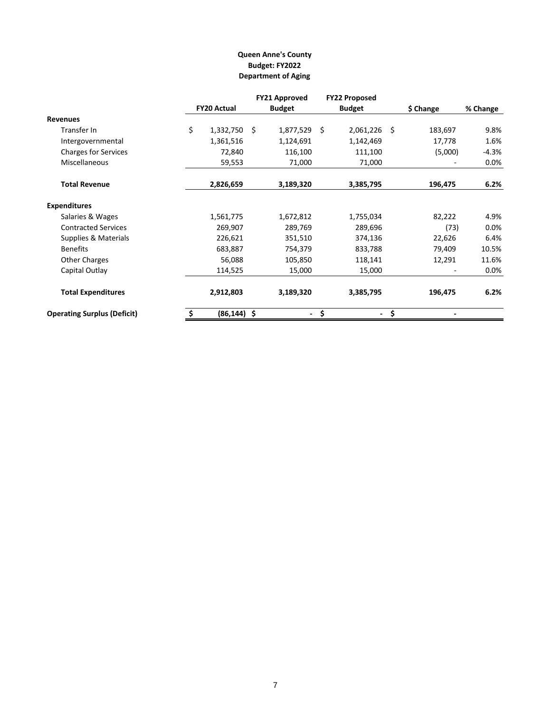# **Queen Anne's County Budget: FY2022 Department of Aging**

|                                    |    |                    | <b>FY21 Approved</b> | <b>FY22 Proposed</b> |    |           |          |
|------------------------------------|----|--------------------|----------------------|----------------------|----|-----------|----------|
|                                    |    | <b>FY20 Actual</b> | <b>Budget</b>        | <b>Budget</b>        |    | \$ Change | % Change |
| <b>Revenues</b>                    |    |                    |                      |                      |    |           |          |
| Transfer In                        | \$ | $1,332,750$ \$     | 1,877,529 \$         | 2,061,226            | Ŝ  | 183,697   | 9.8%     |
| Intergovernmental                  |    | 1,361,516          | 1,124,691            | 1,142,469            |    | 17,778    | 1.6%     |
| <b>Charges for Services</b>        |    | 72,840             | 116,100              | 111,100              |    | (5,000)   | $-4.3%$  |
| <b>Miscellaneous</b>               |    | 59,553             | 71,000               | 71,000               |    |           | $0.0\%$  |
| <b>Total Revenue</b>               |    | 2,826,659          | 3,189,320            | 3,385,795            |    | 196,475   | 6.2%     |
| <b>Expenditures</b>                |    |                    |                      |                      |    |           |          |
| Salaries & Wages                   |    | 1,561,775          | 1,672,812            | 1,755,034            |    | 82,222    | 4.9%     |
| <b>Contracted Services</b>         |    | 269,907            | 289,769              | 289,696              |    | (73)      | $0.0\%$  |
| Supplies & Materials               |    | 226,621            | 351,510              | 374,136              |    | 22,626    | 6.4%     |
| <b>Benefits</b>                    |    | 683,887            | 754,379              | 833,788              |    | 79,409    | 10.5%    |
| Other Charges                      |    | 56,088             | 105,850              | 118,141              |    | 12,291    | 11.6%    |
| Capital Outlay                     |    | 114,525            | 15,000               | 15,000               |    |           | $0.0\%$  |
| <b>Total Expenditures</b>          |    | 2,912,803          | 3,189,320            | 3,385,795            |    | 196,475   | 6.2%     |
| <b>Operating Surplus (Deficit)</b> | -Ş | $(86, 144)$ \$     | $\sim$               | \$<br>$\sim$         | \$ |           |          |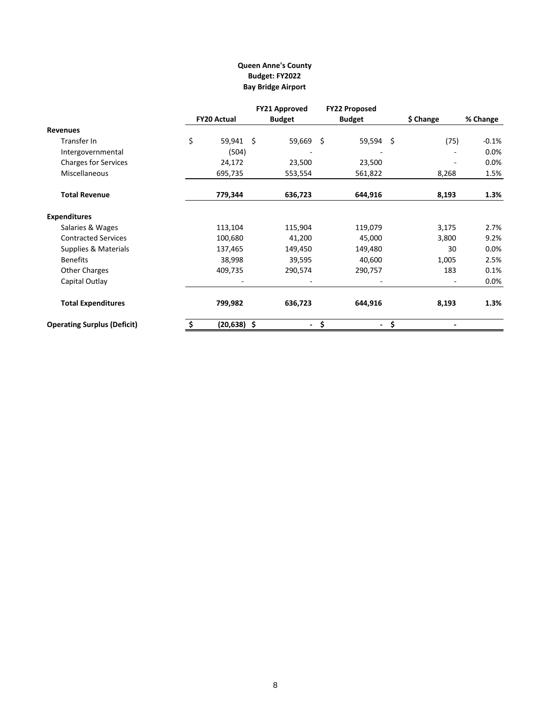# **Queen Anne's County Budget: FY2022 Bay Bridge Airport**

|                                    |                    | <b>FY21 Approved</b> |           | <b>FY22 Proposed</b>           |           |          |
|------------------------------------|--------------------|----------------------|-----------|--------------------------------|-----------|----------|
|                                    | <b>FY20 Actual</b> | <b>Budget</b>        |           | <b>Budget</b>                  | \$ Change | % Change |
| <b>Revenues</b>                    |                    |                      |           |                                |           |          |
| Transfer In                        | \$<br>59,941 \$    |                      | 59,669 \$ | 59,594 \$                      | (75)      | $-0.1\%$ |
| Intergovernmental                  | (504)              |                      |           |                                |           | 0.0%     |
| <b>Charges for Services</b>        | 24,172             |                      | 23,500    | 23,500                         |           | 0.0%     |
| <b>Miscellaneous</b>               | 695,735            |                      | 553,554   | 561,822                        | 8,268     | 1.5%     |
| <b>Total Revenue</b>               | 779,344            |                      | 636,723   | 644,916                        | 8,193     | 1.3%     |
| <b>Expenditures</b>                |                    |                      |           |                                |           |          |
| Salaries & Wages                   | 113,104            |                      | 115,904   | 119,079                        | 3,175     | 2.7%     |
| <b>Contracted Services</b>         | 100,680            |                      | 41,200    | 45,000                         | 3,800     | 9.2%     |
| Supplies & Materials               | 137,465            |                      | 149,450   | 149,480                        | 30        | 0.0%     |
| <b>Benefits</b>                    | 38,998             |                      | 39,595    | 40,600                         | 1,005     | 2.5%     |
| <b>Other Charges</b>               | 409,735            |                      | 290,574   | 290,757                        | 183       | 0.1%     |
| Capital Outlay                     |                    |                      |           |                                |           | $0.0\%$  |
| <b>Total Expenditures</b>          | 799,982            |                      | 636,723   | 644,916                        | 8,193     | 1.3%     |
| <b>Operating Surplus (Deficit)</b> | $(20, 638)$ \$     |                      | ۰.        | \$<br>$\overline{\phantom{a}}$ | \$        |          |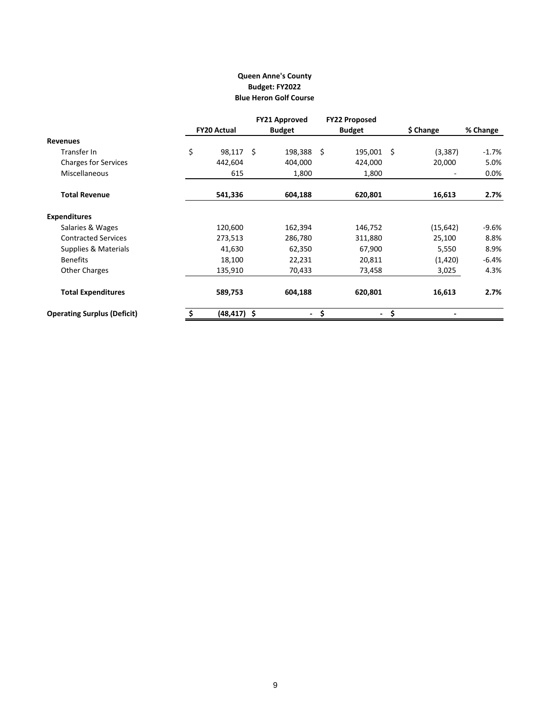## **Queen Anne's County Budget: FY2022 Blue Heron Golf Course**

|                                    |                    |      | <b>FY21 Approved</b>     | <b>FY22 Proposed</b>           |    |                          |          |
|------------------------------------|--------------------|------|--------------------------|--------------------------------|----|--------------------------|----------|
|                                    | <b>FY20 Actual</b> |      | <b>Budget</b>            | <b>Budget</b>                  |    | \$ Change                | % Change |
| <b>Revenues</b>                    |                    |      |                          |                                |    |                          |          |
| Transfer In                        | \$<br>98,117       | - \$ | 198,388                  | \$<br>195,001                  | -Ś | (3, 387)                 | $-1.7\%$ |
| <b>Charges for Services</b>        | 442,604            |      | 404,000                  | 424,000                        |    | 20,000                   | 5.0%     |
| <b>Miscellaneous</b>               | 615                |      | 1,800                    | 1,800                          |    |                          | $0.0\%$  |
| <b>Total Revenue</b>               | 541,336            |      | 604,188                  | 620,801                        |    | 16,613                   | 2.7%     |
| <b>Expenditures</b>                |                    |      |                          |                                |    |                          |          |
| Salaries & Wages                   | 120,600            |      | 162,394                  | 146,752                        |    | (15, 642)                | -9.6%    |
| <b>Contracted Services</b>         | 273,513            |      | 286,780                  | 311,880                        |    | 25,100                   | 8.8%     |
| Supplies & Materials               | 41,630             |      | 62,350                   | 67,900                         |    | 5,550                    | 8.9%     |
| <b>Benefits</b>                    | 18,100             |      | 22,231                   | 20,811                         |    | (1,420)                  | -6.4%    |
| <b>Other Charges</b>               | 135,910            |      | 70,433                   | 73,458                         |    | 3,025                    | 4.3%     |
| <b>Total Expenditures</b>          | 589,753            |      | 604,188                  | 620,801                        |    | 16,613                   | 2.7%     |
| <b>Operating Surplus (Deficit)</b> | $(48, 417)$ \$     |      | $\overline{\phantom{a}}$ | \$<br>$\overline{\phantom{a}}$ | \$ | $\overline{\phantom{0}}$ |          |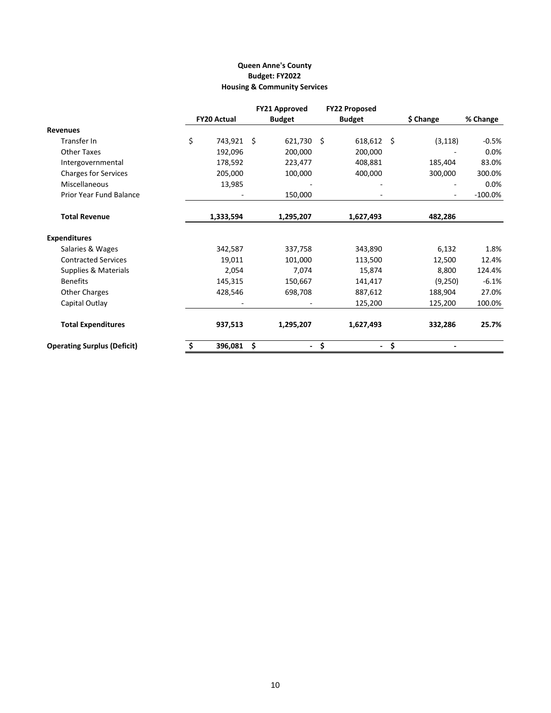# **Housing & Community Services Queen Anne's County Budget: FY2022**

|                                    |                    | <b>FY21 Approved</b>           | <b>FY22 Proposed</b> |           |            |
|------------------------------------|--------------------|--------------------------------|----------------------|-----------|------------|
|                                    | <b>FY20 Actual</b> | <b>Budget</b>                  | <b>Budget</b>        | \$ Change | % Change   |
| <b>Revenues</b>                    |                    |                                |                      |           |            |
| Transfer In                        | \$<br>743,921      | - \$<br>621,730                | \$<br>$618,612$ \$   | (3, 118)  | $-0.5\%$   |
| <b>Other Taxes</b>                 | 192,096            | 200,000                        | 200,000              |           | 0.0%       |
| Intergovernmental                  | 178,592            | 223,477                        | 408,881              | 185,404   | 83.0%      |
| <b>Charges for Services</b>        | 205,000            | 100,000                        | 400,000              | 300,000   | 300.0%     |
| <b>Miscellaneous</b>               | 13,985             |                                |                      |           | 0.0%       |
| Prior Year Fund Balance            |                    | 150,000                        |                      |           | $-100.0\%$ |
| <b>Total Revenue</b>               | 1,333,594          | 1,295,207                      | 1,627,493            | 482,286   |            |
| <b>Expenditures</b>                |                    |                                |                      |           |            |
| Salaries & Wages                   | 342,587            | 337,758                        | 343,890              | 6,132     | 1.8%       |
| <b>Contracted Services</b>         | 19,011             | 101,000                        | 113,500              | 12,500    | 12.4%      |
| <b>Supplies &amp; Materials</b>    | 2,054              | 7,074                          | 15,874               | 8,800     | 124.4%     |
| <b>Benefits</b>                    | 145,315            | 150,667                        | 141,417              | (9,250)   | $-6.1%$    |
| <b>Other Charges</b>               | 428,546            | 698,708                        | 887,612              | 188,904   | 27.0%      |
| Capital Outlay                     |                    |                                | 125,200              | 125,200   | 100.0%     |
| <b>Total Expenditures</b>          | 937,513            | 1,295,207                      | 1,627,493            | 332,286   | 25.7%      |
| <b>Operating Surplus (Deficit)</b> | \$<br>396,081      | \$<br>$\overline{\phantom{0}}$ | \$<br>$\blacksquare$ | \$        |            |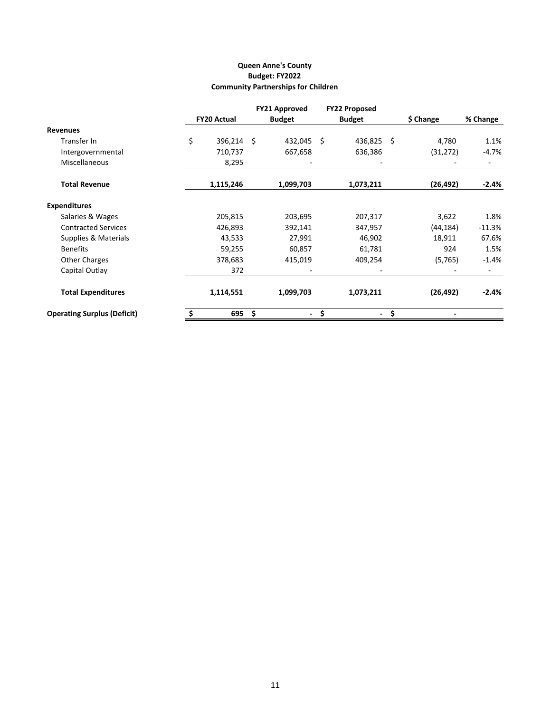# **Queen Anne's County Budget: FY2022 Community Partnerships for Children**

|                                    |                    |            | <b>FY21 Approved</b> | <b>FY22 Proposed</b> |             |          |
|------------------------------------|--------------------|------------|----------------------|----------------------|-------------|----------|
|                                    | <b>FY20 Actual</b> |            | <b>Budget</b>        | <b>Budget</b>        | \$ Change   | % Change |
| <b>Revenues</b>                    |                    |            |                      |                      |             |          |
| Transfer In                        | \$                 | 396,214 \$ | 432,045 \$           | 436,825              | -Ś<br>4,780 | 1.1%     |
| Intergovernmental                  |                    | 710,737    | 667,658              | 636,386              | (31, 272)   | -4.7%    |
| <b>Miscellaneous</b>               |                    | 8,295      |                      |                      |             |          |
| <b>Total Revenue</b>               |                    | 1,115,246  | 1,099,703            | 1,073,211            | (26, 492)   | $-2.4%$  |
| <b>Expenditures</b>                |                    |            |                      |                      |             |          |
| Salaries & Wages                   |                    | 205,815    | 203,695              | 207,317              | 3,622       | 1.8%     |
| <b>Contracted Services</b>         |                    | 426,893    | 392,141              | 347,957              | (44, 184)   | $-11.3%$ |
| Supplies & Materials               |                    | 43,533     | 27,991               | 46,902               | 18,911      | 67.6%    |
| <b>Benefits</b>                    |                    | 59,255     | 60,857               | 61,781               | 924         | 1.5%     |
| <b>Other Charges</b>               |                    | 378,683    | 415,019              | 409,254              | (5,765)     | $-1.4%$  |
| Capital Outlay                     |                    | 372        |                      |                      |             |          |
| <b>Total Expenditures</b>          |                    | 1,114,551  | 1,099,703            | 1,073,211            | (26, 492)   | $-2.4%$  |
| <b>Operating Surplus (Deficit)</b> | \$                 | 695        | - \$<br>$\sim$       | \$<br>$\sim$         | \$          |          |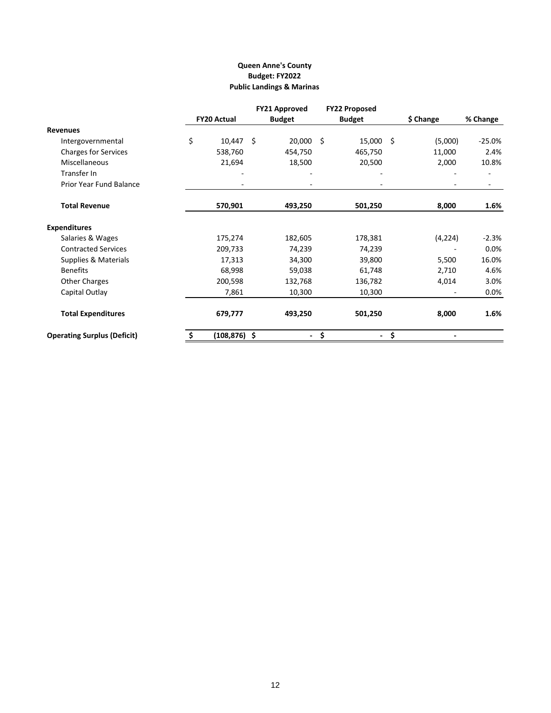# **Queen Anne's County Budget: FY2022 Public Landings & Marinas**

|                                    |    |                    |      | <b>FY21 Approved</b>     | <b>FY22 Proposed</b> |    |           |          |
|------------------------------------|----|--------------------|------|--------------------------|----------------------|----|-----------|----------|
|                                    |    | <b>FY20 Actual</b> |      | <b>Budget</b>            | <b>Budget</b>        |    | \$ Change | % Change |
| <b>Revenues</b>                    |    |                    |      |                          |                      |    |           |          |
| Intergovernmental                  | \$ | 10,447             | - \$ | 20,000 \$                | 15,000               | -Ś | (5,000)   | $-25.0%$ |
| <b>Charges for Services</b>        |    | 538,760            |      | 454,750                  | 465,750              |    | 11,000    | 2.4%     |
| <b>Miscellaneous</b>               |    | 21,694             |      | 18,500                   | 20,500               |    | 2,000     | 10.8%    |
| Transfer In                        |    |                    |      |                          |                      |    |           |          |
| Prior Year Fund Balance            |    |                    |      |                          |                      |    |           |          |
| <b>Total Revenue</b>               |    | 570,901            |      | 493,250                  | 501,250              |    | 8,000     | 1.6%     |
| <b>Expenditures</b>                |    |                    |      |                          |                      |    |           |          |
| Salaries & Wages                   |    | 175,274            |      | 182,605                  | 178,381              |    | (4, 224)  | $-2.3%$  |
| <b>Contracted Services</b>         |    | 209,733            |      | 74,239                   | 74,239               |    |           | 0.0%     |
| Supplies & Materials               |    | 17,313             |      | 34,300                   | 39,800               |    | 5,500     | 16.0%    |
| <b>Benefits</b>                    |    | 68,998             |      | 59,038                   | 61,748               |    | 2,710     | 4.6%     |
| <b>Other Charges</b>               |    | 200,598            |      | 132,768                  | 136,782              |    | 4,014     | 3.0%     |
| Capital Outlay                     |    | 7,861              |      | 10,300                   | 10,300               |    |           | 0.0%     |
| <b>Total Expenditures</b>          |    | 679,777            |      | 493,250                  | 501,250              |    | 8,000     | 1.6%     |
| <b>Operating Surplus (Deficit)</b> | -Ş | $(108, 876)$ \$    |      | $\overline{\phantom{0}}$ | \$<br>$\bullet$ .    | \$ |           |          |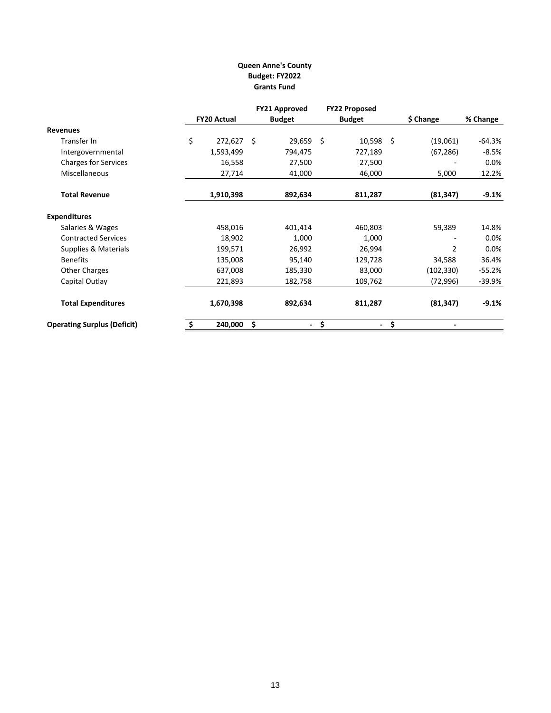# **Queen Anne's County Budget: FY2022 Grants Fund**

|                                    |                    | <b>FY21 Approved</b> | <b>FY22 Proposed</b>           |                |          |
|------------------------------------|--------------------|----------------------|--------------------------------|----------------|----------|
|                                    | <b>FY20 Actual</b> | <b>Budget</b>        | <b>Budget</b>                  | \$ Change      | % Change |
| <b>Revenues</b>                    |                    |                      |                                |                |          |
| Transfer In                        | \$<br>272,627 \$   | 29,659 \$            | $10,598$ \$                    | (19,061)       | $-64.3%$ |
| Intergovernmental                  | 1,593,499          | 794,475              | 727,189                        | (67, 286)      | $-8.5%$  |
| <b>Charges for Services</b>        | 16,558             | 27,500               | 27,500                         |                | 0.0%     |
| <b>Miscellaneous</b>               | 27,714             | 41,000               | 46,000                         | 5,000          | 12.2%    |
| <b>Total Revenue</b>               | 1,910,398          | 892,634              | 811,287                        | (81, 347)      | $-9.1%$  |
| <b>Expenditures</b>                |                    |                      |                                |                |          |
| Salaries & Wages                   | 458,016            | 401,414              | 460,803                        | 59,389         | 14.8%    |
| <b>Contracted Services</b>         | 18,902             | 1,000                | 1,000                          |                | 0.0%     |
| Supplies & Materials               | 199,571            | 26,992               | 26,994                         | $\overline{2}$ | 0.0%     |
| <b>Benefits</b>                    | 135,008            | 95,140               | 129,728                        | 34,588         | 36.4%    |
| <b>Other Charges</b>               | 637,008            | 185,330              | 83,000                         | (102,330)      | $-55.2%$ |
| Capital Outlay                     | 221,893            | 182,758              | 109,762                        | (72, 996)      | $-39.9%$ |
| <b>Total Expenditures</b>          | 1,670,398          | 892,634              | 811,287                        | (81, 347)      | $-9.1%$  |
| <b>Operating Surplus (Deficit)</b> | 240,000            | \$<br>۰.             | \$<br>$\overline{\phantom{a}}$ | \$             |          |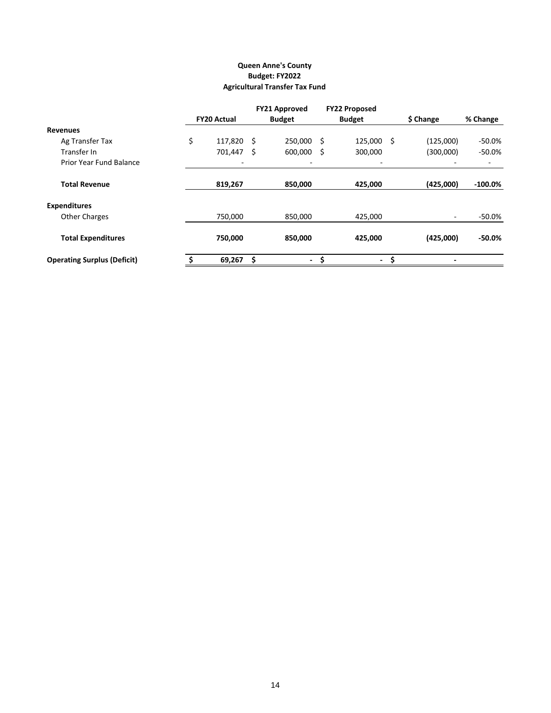# **Agricultural Transfer Tax Fund Queen Anne's County Budget: FY2022**

|                                    |                    |      | <b>FY21 Approved</b> |    | <b>FY22 Proposed</b> |     |           |            |
|------------------------------------|--------------------|------|----------------------|----|----------------------|-----|-----------|------------|
|                                    | <b>FY20 Actual</b> |      | <b>Budget</b>        |    | <b>Budget</b>        |     | \$ Change | % Change   |
| <b>Revenues</b>                    |                    |      |                      |    |                      |     |           |            |
| Ag Transfer Tax                    | \$<br>117,820      | - \$ | 250,000              | .S | 125,000              | -\$ | (125,000) | -50.0%     |
| Transfer In                        | 701,447            | -\$  | 600,000              | \$ | 300,000              |     | (300,000) | -50.0%     |
| Prior Year Fund Balance            |                    |      |                      |    |                      |     |           | ۰          |
| <b>Total Revenue</b>               | 819,267            |      | 850,000              |    | 425,000              |     | (425,000) | $-100.0\%$ |
| <b>Expenditures</b>                |                    |      |                      |    |                      |     |           |            |
| <b>Other Charges</b>               | 750,000            |      | 850,000              |    | 425,000              |     |           | -50.0%     |
| <b>Total Expenditures</b>          | 750,000            |      | 850,000              |    | 425,000              |     | (425,000) | $-50.0\%$  |
| <b>Operating Surplus (Deficit)</b> | 69,267             | Ś    | $\blacksquare$       | \$ | $\sim$               | .s  |           |            |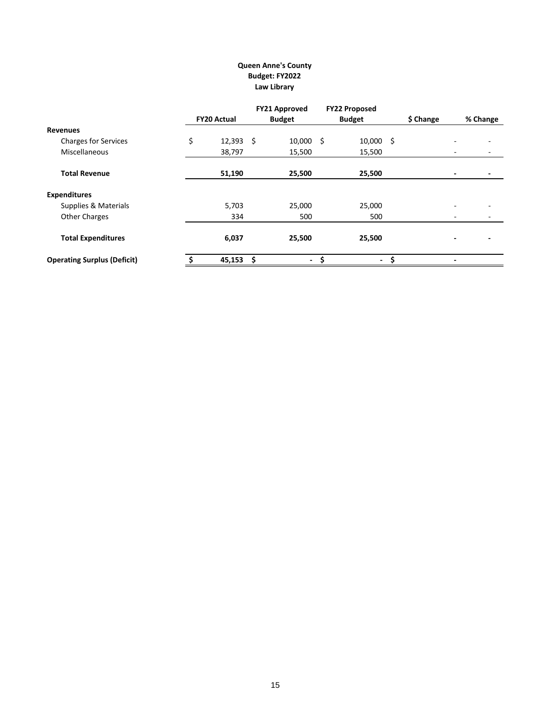# **Queen Anne's County Budget: FY2022 Law Library**

|                                    |                    | <b>FY21 Approved</b> | <b>FY22 Proposed</b> |      |           |                          |          |
|------------------------------------|--------------------|----------------------|----------------------|------|-----------|--------------------------|----------|
|                                    | <b>FY20 Actual</b> | <b>Budget</b>        | <b>Budget</b>        |      | \$ Change |                          | % Change |
| Revenues                           |                    |                      |                      |      |           |                          |          |
| <b>Charges for Services</b>        | \$<br>$12,393$ \$  | $10,000$ \$          | 10,000               | - \$ |           |                          |          |
| Miscellaneous                      | 38,797             | 15,500               | 15,500               |      |           |                          |          |
| <b>Total Revenue</b>               | 51,190             | 25,500               | 25,500               |      |           |                          |          |
| <b>Expenditures</b>                |                    |                      |                      |      |           |                          |          |
| Supplies & Materials               | 5,703              | 25,000               | 25,000               |      |           |                          |          |
| <b>Other Charges</b>               | 334                | 500                  | 500                  |      |           | $\overline{\phantom{0}}$ |          |
| <b>Total Expenditures</b>          | 6,037              | 25,500               | 25,500               |      |           |                          |          |
| <b>Operating Surplus (Deficit)</b> | $45,153$ \$        | - \$                 |                      | - \$ |           | $\overline{\phantom{0}}$ |          |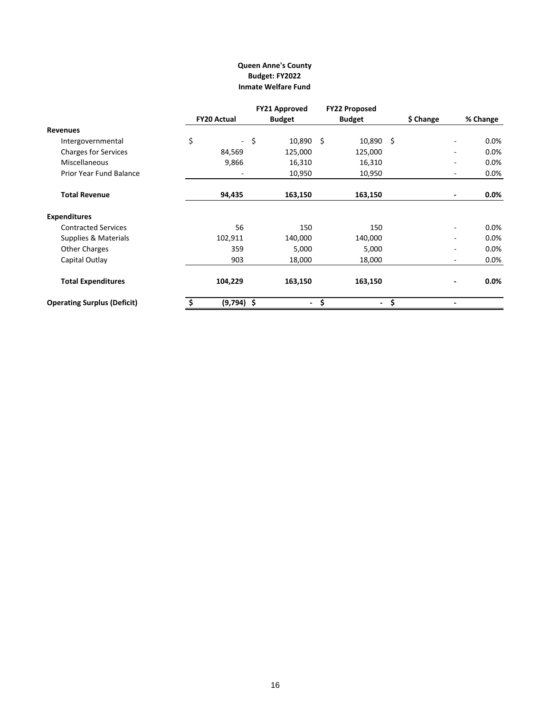## **Queen Anne's County Budget: FY2022 Inmate Welfare Fund**

|                                    |    |                    |        | <b>FY21 Approved</b> | <b>FY22 Proposed</b> |                  |    |           |          |
|------------------------------------|----|--------------------|--------|----------------------|----------------------|------------------|----|-----------|----------|
|                                    |    | <b>FY20 Actual</b> |        | <b>Budget</b>        |                      | <b>Budget</b>    |    | \$ Change | % Change |
| <b>Revenues</b>                    |    |                    |        |                      |                      |                  |    |           |          |
| Intergovernmental                  | \$ |                    | $-$ \$ | $10,890 \quad $$     |                      | $10,890 \quad $$ |    |           | $0.0\%$  |
| <b>Charges for Services</b>        |    | 84,569             |        | 125,000              |                      | 125,000          |    |           | $0.0\%$  |
| <b>Miscellaneous</b>               |    | 9,866              |        | 16,310               |                      | 16,310           |    |           | $0.0\%$  |
| Prior Year Fund Balance            |    |                    |        | 10,950               |                      | 10,950           |    |           | $0.0\%$  |
| <b>Total Revenue</b>               |    | 94,435             |        | 163,150              |                      | 163,150          |    |           | $0.0\%$  |
| <b>Expenditures</b>                |    |                    |        |                      |                      |                  |    |           |          |
| <b>Contracted Services</b>         |    | 56                 |        | 150                  |                      | 150              |    |           | $0.0\%$  |
| Supplies & Materials               |    | 102,911            |        | 140,000              |                      | 140,000          |    |           | $0.0\%$  |
| <b>Other Charges</b>               |    | 359                |        | 5,000                |                      | 5,000            |    |           | $0.0\%$  |
| Capital Outlay                     |    | 903                |        | 18,000               |                      | 18,000           |    |           | 0.0%     |
| <b>Total Expenditures</b>          |    | 104,229            |        | 163,150              |                      | 163,150          |    |           | $0.0\%$  |
| <b>Operating Surplus (Deficit)</b> |    | $(9,794)$ \$       |        | -                    | \$                   | ٠                | \$ |           |          |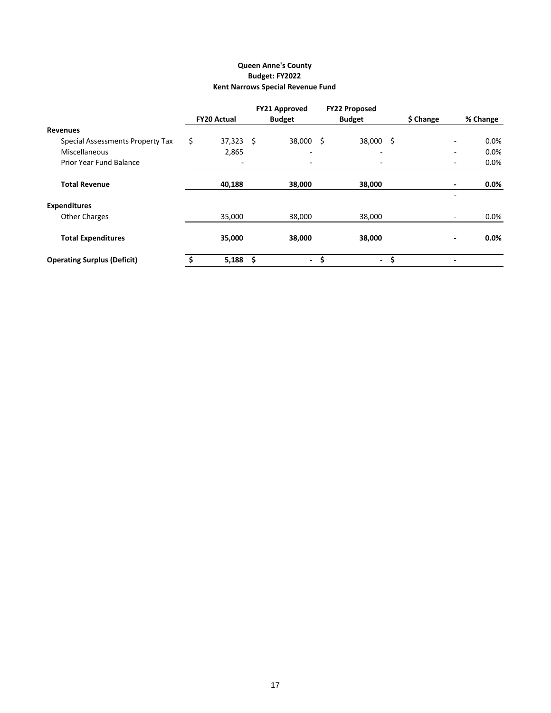# **Queen Anne's County Budget: FY2022 Kent Narrows Special Revenue Fund**

|                                    |                          | <b>FY21 Approved</b>     |    | <b>FY22 Proposed</b>     |    |           |          |
|------------------------------------|--------------------------|--------------------------|----|--------------------------|----|-----------|----------|
|                                    | <b>FY20 Actual</b>       | <b>Budget</b>            |    | <b>Budget</b>            |    | \$ Change | % Change |
| <b>Revenues</b>                    |                          |                          |    |                          |    |           |          |
| Special Assessments Property Tax   | \$<br>$37,323$ \$        | 38,000                   | Ŝ. | 38,000                   | -S |           | $0.0\%$  |
| Miscellaneous                      | 2,865                    | $\overline{\phantom{0}}$ |    | $\overline{\phantom{0}}$ |    |           | $0.0\%$  |
| <b>Prior Year Fund Balance</b>     | $\overline{\phantom{0}}$ | $\overline{\phantom{0}}$ |    | $\overline{\phantom{0}}$ |    |           | 0.0%     |
| <b>Total Revenue</b>               | 40,188                   | 38,000                   |    | 38,000                   |    |           | $0.0\%$  |
| <b>Expenditures</b>                |                          |                          |    |                          |    |           |          |
| <b>Other Charges</b>               | 35,000                   | 38,000                   |    | 38,000                   |    |           | $0.0\%$  |
| <b>Total Expenditures</b>          | 35,000                   | 38,000                   |    | 38,000                   |    |           | $0.0\%$  |
| <b>Operating Surplus (Deficit)</b> | 5,188                    | \$<br>$\sim$             | \$ | $\sim$                   | \$ |           |          |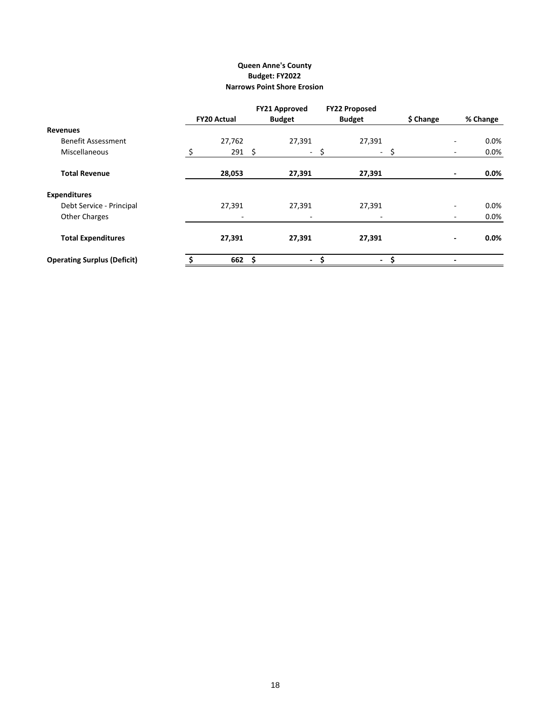## **Narrows Point Shore Erosion Queen Anne's County Budget: FY2022**

|                                    |                    | <b>FY21 Approved</b>     | <b>FY22 Proposed</b> |           |                          |          |
|------------------------------------|--------------------|--------------------------|----------------------|-----------|--------------------------|----------|
|                                    | <b>FY20 Actual</b> | <b>Budget</b>            | <b>Budget</b>        | \$ Change |                          | % Change |
| Revenues                           |                    |                          |                      |           |                          |          |
| <b>Benefit Assessment</b>          | 27,762             | 27,391                   | 27,391               |           |                          | $0.0\%$  |
| Miscellaneous                      | $291 \quad $$      | $\sim$                   | \$<br>$\sim$ $-$     | \$        | -                        | $0.0\%$  |
| <b>Total Revenue</b>               | 28,053             | 27,391                   | 27,391               |           |                          | $0.0\%$  |
| <b>Expenditures</b>                |                    |                          |                      |           |                          |          |
| Debt Service - Principal           | 27,391             | 27,391                   | 27,391               |           |                          | $0.0\%$  |
| <b>Other Charges</b>               |                    | $\overline{\phantom{0}}$ |                      |           |                          | 0.0%     |
| <b>Total Expenditures</b>          | 27,391             | 27,391                   | 27,391               |           |                          | $0.0\%$  |
| <b>Operating Surplus (Deficit)</b> | 662 \$             | $\sim$                   | \$<br>$\sim$         | \$.       | $\overline{\phantom{0}}$ |          |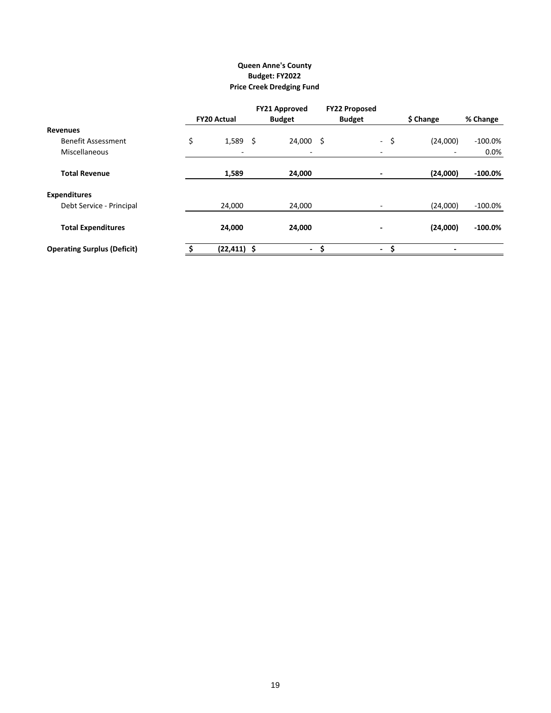# **Queen Anne's County Budget: FY2022 Price Creek Dredging Fund**

|                                    |                          | <b>FY21 Approved</b>     | <b>FY22 Proposed</b>                 |                          |            |
|------------------------------------|--------------------------|--------------------------|--------------------------------------|--------------------------|------------|
|                                    | <b>FY20 Actual</b>       | <b>Budget</b>            | <b>Budget</b>                        | \$ Change                | % Change   |
| <b>Revenues</b>                    |                          |                          |                                      |                          |            |
| <b>Benefit Assessment</b>          | \$<br>$1,589$ \$         | $24,000$ \$              | -\$                                  | (24,000)                 | $-100.0\%$ |
| Miscellaneous                      | $\overline{\phantom{a}}$ | $\overline{\phantom{a}}$ |                                      |                          | $0.0\%$    |
| <b>Total Revenue</b>               | 1,589                    | 24,000                   |                                      | (24,000)                 | $-100.0\%$ |
| <b>Expenditures</b>                |                          |                          |                                      |                          |            |
| Debt Service - Principal           | 24.000                   | 24.000                   |                                      | (24,000)                 | $-100.0\%$ |
| <b>Total Expenditures</b>          | 24,000                   | 24,000                   | -                                    | (24,000)                 | $-100.0\%$ |
| <b>Operating Surplus (Deficit)</b> | $(22, 411)$ \$           | $\blacksquare$           | \$<br>\$<br>$\overline{\phantom{0}}$ | $\overline{\phantom{0}}$ |            |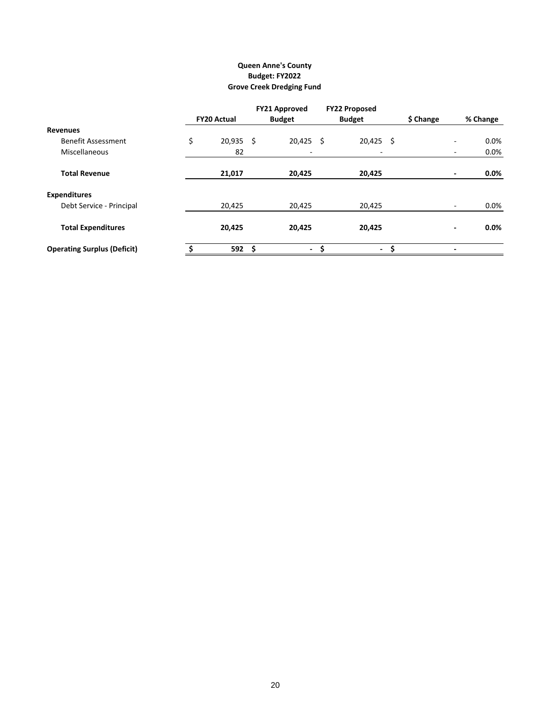# **Grove Creek Dredging Fund Queen Anne's County Budget: FY2022**

|                                    | <b>FY20 Actual</b> |      | <b>FY21 Approved</b><br><b>Budget</b> | <b>FY22 Proposed</b><br><b>Budget</b> | \$ Change | % Change |
|------------------------------------|--------------------|------|---------------------------------------|---------------------------------------|-----------|----------|
| <b>Revenues</b>                    |                    |      |                                       |                                       |           |          |
|                                    |                    |      |                                       |                                       |           |          |
| <b>Benefit Assessment</b>          | \$<br>$20,935$ \$  |      | $20,425$ \$                           | $20,425$ \$                           |           | $0.0\%$  |
| Miscellaneous                      | 82                 |      | $\overline{\phantom{0}}$              | $\overline{\phantom{0}}$              |           | $0.0\%$  |
| <b>Total Revenue</b>               | 21,017             |      | 20,425                                | 20,425                                |           | $0.0\%$  |
| <b>Expenditures</b>                |                    |      |                                       |                                       |           |          |
| Debt Service - Principal           | 20,425             |      | 20,425                                | 20,425                                |           | $0.0\%$  |
| <b>Total Expenditures</b>          | 20,425             |      | 20,425                                | 20,425                                |           | $0.0\%$  |
| <b>Operating Surplus (Deficit)</b> | 592                | - \$ | $\overline{\phantom{a}}$              | \$<br>$\blacksquare$                  | \$        |          |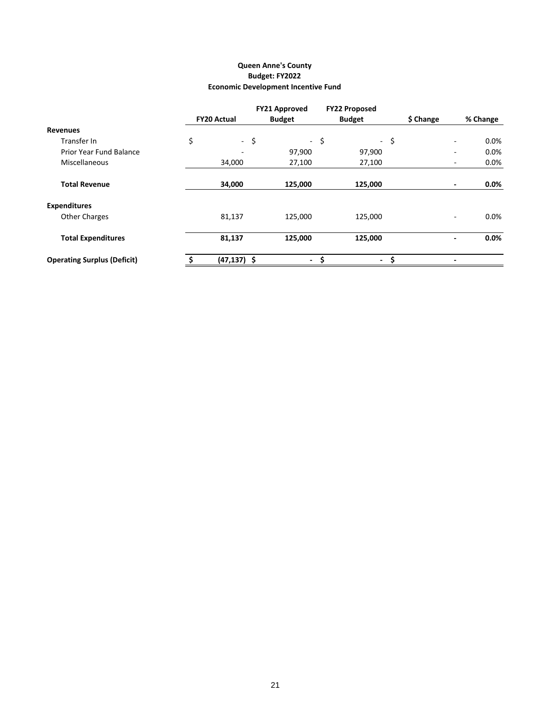# **Queen Anne's County Budget: FY2022 Economic Development Incentive Fund**

|                                    |                    | <b>FY21 Approved</b> | <b>FY22 Proposed</b> |           |          |
|------------------------------------|--------------------|----------------------|----------------------|-----------|----------|
|                                    | <b>FY20 Actual</b> | <b>Budget</b>        | <b>Budget</b>        | \$ Change | % Change |
| Revenues                           |                    |                      |                      |           |          |
| Transfer In                        | \$<br>$-$ \$       |                      | - \$                 | $-$ \$    | $0.0\%$  |
| <b>Prior Year Fund Balance</b>     |                    | 97,900               | 97,900               |           | 0.0%     |
| <b>Miscellaneous</b>               | 34,000             | 27,100               | 27,100               |           | $0.0\%$  |
| <b>Total Revenue</b>               | 34,000             | 125,000              | 125,000              |           | $0.0\%$  |
| <b>Expenditures</b>                |                    |                      |                      |           |          |
| <b>Other Charges</b>               | 81,137             | 125,000              | 125,000              |           | $0.0\%$  |
| <b>Total Expenditures</b>          | 81,137             | 125,000              | 125,000              |           | $0.0\%$  |
| <b>Operating Surplus (Deficit)</b> | $(47, 137)$ \$     | $\blacksquare$       | \$<br>$\sim$         | \$.       | -        |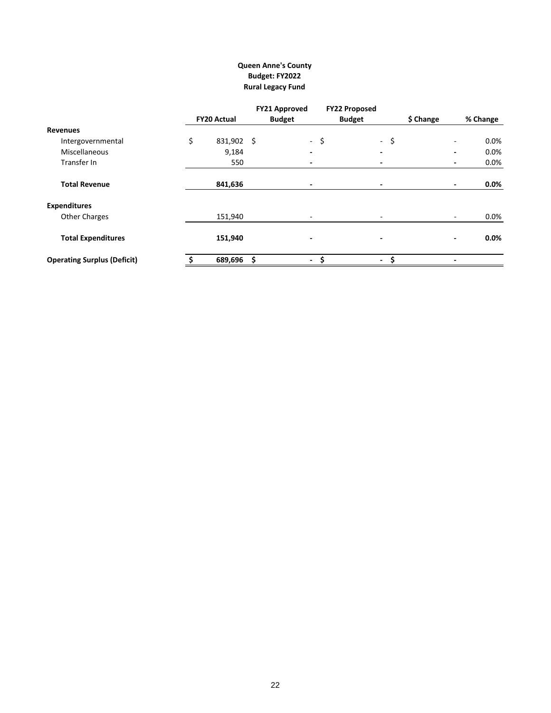# **Queen Anne's County Budget: FY2022 Rural Legacy Fund**

|                                    |                    | <b>FY21 Approved</b> |                                | <b>FY22 Proposed</b>     |                          |          |
|------------------------------------|--------------------|----------------------|--------------------------------|--------------------------|--------------------------|----------|
|                                    | <b>FY20 Actual</b> | <b>Budget</b>        |                                | <b>Budget</b>            | \$ Change                | % Change |
| Revenues                           |                    |                      |                                |                          |                          |          |
| Intergovernmental                  | \$<br>831,902 \$   |                      | -\$                            | $-$ \$                   |                          | $0.0\%$  |
| <b>Miscellaneous</b>               | 9,184              |                      |                                |                          |                          | $0.0\%$  |
| Transfer In                        | 550                |                      | $\overline{\phantom{0}}$       | $\blacksquare$           | $\overline{\phantom{0}}$ | 0.0%     |
| <b>Total Revenue</b>               | 841,636            |                      | ٠                              | ٠                        | ٠                        | $0.0\%$  |
| <b>Expenditures</b>                |                    |                      |                                |                          |                          |          |
| <b>Other Charges</b>               | 151,940            |                      | $\overline{\phantom{a}}$       | $\overline{\phantom{a}}$ | $\overline{\phantom{a}}$ | $0.0\%$  |
| <b>Total Expenditures</b>          | 151,940            |                      | $\overline{\phantom{0}}$       | $\overline{\phantom{0}}$ | ٠                        | $0.0\%$  |
| <b>Operating Surplus (Deficit)</b> | 689,696            | Ś                    | \$<br>$\overline{\phantom{0}}$ | \$<br>$\sim$             | ۰                        |          |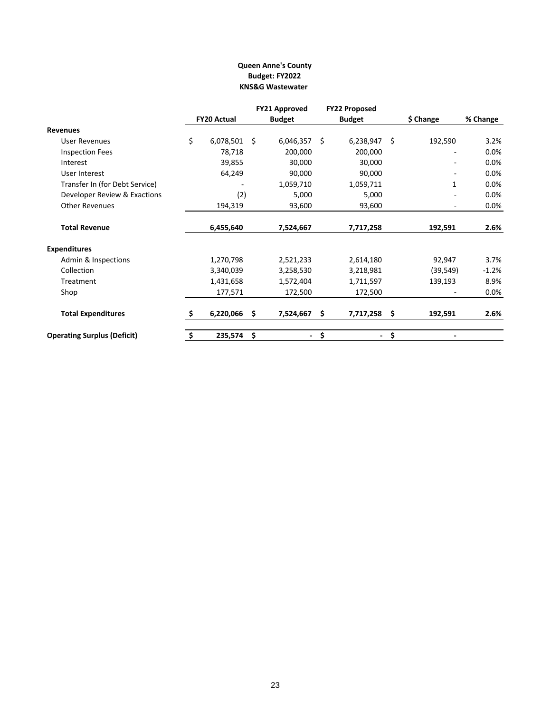## **KNS&G Wastewater Queen Anne's County Budget: FY2022**

|                                                                                 |    |                    | <b>FY22 Proposed</b><br><b>FY21 Approved</b> |                |    |               |     |              |          |
|---------------------------------------------------------------------------------|----|--------------------|----------------------------------------------|----------------|----|---------------|-----|--------------|----------|
|                                                                                 |    | <b>FY20 Actual</b> |                                              | <b>Budget</b>  |    | <b>Budget</b> |     | \$ Change    | % Change |
| <b>Revenues</b>                                                                 |    |                    |                                              |                |    |               |     |              |          |
| <b>User Revenues</b>                                                            | \$ | 6,078,501          | Ŝ.                                           | 6,046,357      | Ś. | 6,238,947     | Ś.  | 192,590      | 3.2%     |
| <b>Inspection Fees</b>                                                          |    | 78,718             |                                              | 200,000        |    | 200,000       |     |              | 0.0%     |
| Interest                                                                        |    | 39,855             |                                              | 30,000         |    | 30,000        |     |              | 0.0%     |
| User Interest<br>Transfer In (for Debt Service)<br>Developer Review & Exactions |    | 64,249             |                                              | 90,000         |    | 90,000        |     | $\mathbf{1}$ | 0.0%     |
|                                                                                 |    |                    |                                              | 1,059,710      |    | 1,059,711     |     |              | 0.0%     |
|                                                                                 |    | (2)                |                                              | 5,000          |    | 5,000         |     |              | 0.0%     |
| <b>Other Revenues</b>                                                           |    | 194,319            |                                              | 93,600         |    | 93,600        |     |              | 0.0%     |
| <b>Total Revenue</b>                                                            |    | 6,455,640          |                                              | 7,524,667      |    | 7,717,258     |     | 192,591      | 2.6%     |
| <b>Expenditures</b>                                                             |    |                    |                                              |                |    |               |     |              |          |
| Admin & Inspections                                                             |    | 1,270,798          |                                              | 2,521,233      |    | 2,614,180     |     | 92,947       | 3.7%     |
| Collection                                                                      |    | 3,340,039          |                                              | 3,258,530      |    | 3,218,981     |     | (39, 549)    | $-1.2%$  |
| Treatment                                                                       |    | 1,431,658          |                                              | 1,572,404      |    | 1,711,597     |     | 139,193      | 8.9%     |
| Shop                                                                            |    | 177,571            |                                              | 172,500        |    | 172,500       |     |              | 0.0%     |
| <b>Total Expenditures</b>                                                       | S. | 6,220,066          | \$.                                          | 7,524,667      | Ś. | 7,717,258     | \$. | 192,591      | 2.6%     |
| <b>Operating Surplus (Deficit)</b>                                              | \$ | 235,574            | - \$                                         | $\blacksquare$ | \$ |               | \$  |              |          |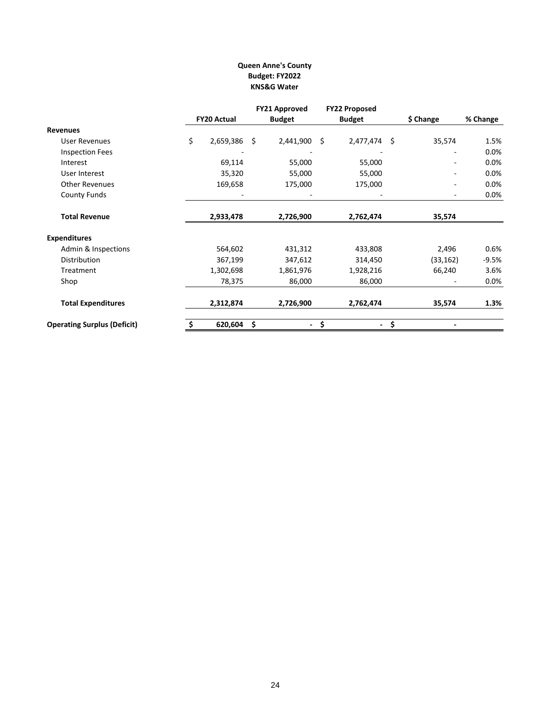## **Queen Anne's County Budget: FY2022 KNS&G Water**

|                                    |                    | <b>FY21 Approved</b> | <b>FY22 Proposed</b> |           |          |
|------------------------------------|--------------------|----------------------|----------------------|-----------|----------|
|                                    | <b>FY20 Actual</b> | <b>Budget</b>        | <b>Budget</b>        | \$ Change | % Change |
| <b>Revenues</b>                    |                    |                      |                      |           |          |
| <b>User Revenues</b>               | \$<br>2,659,386 \$ | 2,441,900            | \$<br>2,477,474 \$   | 35,574    | 1.5%     |
| <b>Inspection Fees</b>             |                    |                      |                      |           | 0.0%     |
| Interest                           | 69,114             | 55,000               | 55,000               |           | 0.0%     |
| User Interest                      | 35,320             | 55,000               | 55,000               |           | 0.0%     |
| <b>Other Revenues</b>              | 169,658            | 175,000              | 175,000              |           | 0.0%     |
| <b>County Funds</b>                |                    |                      |                      |           | $0.0\%$  |
| <b>Total Revenue</b>               | 2,933,478          | 2,726,900            | 2,762,474            | 35,574    |          |
| <b>Expenditures</b>                |                    |                      |                      |           |          |
| Admin & Inspections                | 564,602            | 431,312              | 433,808              | 2,496     | 0.6%     |
| Distribution                       | 367,199            | 347,612              | 314,450              | (33, 162) | $-9.5%$  |
| Treatment                          | 1,302,698          | 1,861,976            | 1,928,216            | 66,240    | 3.6%     |
| Shop                               | 78,375             | 86,000               | 86,000               |           | 0.0%     |
| <b>Total Expenditures</b>          | 2,312,874          | 2,726,900            | 2,762,474            | 35,574    | 1.3%     |
| <b>Operating Surplus (Deficit)</b> | 620,604            | \$<br>$\sim$         | \$<br>$\sim$         | \$        |          |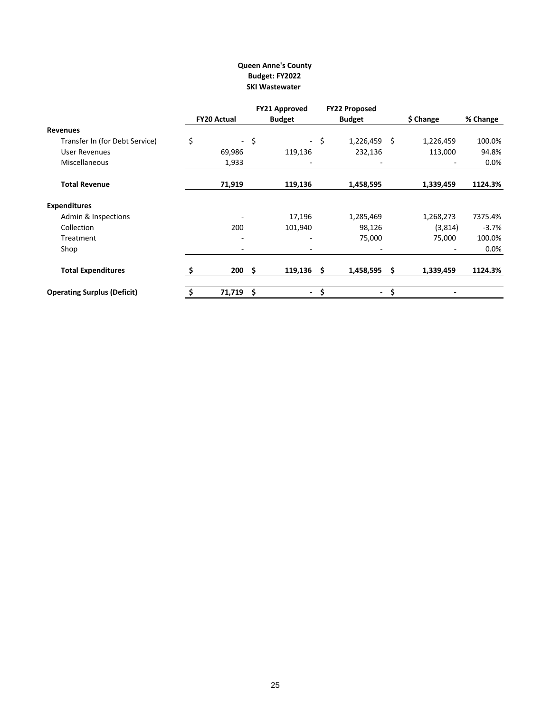## **SKI Wastewater Queen Anne's County Budget: FY2022**

|                                    |    |                    |      | <b>FY21 Approved</b> | <b>FY22 Proposed</b> |               |     |           |          |
|------------------------------------|----|--------------------|------|----------------------|----------------------|---------------|-----|-----------|----------|
|                                    |    | <b>FY20 Actual</b> |      | <b>Budget</b>        |                      | <b>Budget</b> |     | \$ Change | % Change |
| Revenues                           |    |                    |      |                      |                      |               |     |           |          |
| Transfer In (for Debt Service)     | \$ | ÷                  | \$   |                      | $-$ \$               | 1,226,459     | Ŝ.  | 1,226,459 | 100.0%   |
| User Revenues                      |    | 69,986             |      | 119,136              |                      | 232,136       |     | 113,000   | 94.8%    |
| <b>Miscellaneous</b>               |    | 1,933              |      |                      |                      |               |     |           | 0.0%     |
| <b>Total Revenue</b>               |    | 71,919             |      | 119,136              |                      | 1,458,595     |     | 1,339,459 | 1124.3%  |
| <b>Expenditures</b>                |    |                    |      |                      |                      |               |     |           |          |
| Admin & Inspections                |    |                    |      | 17,196               |                      | 1,285,469     |     | 1,268,273 | 7375.4%  |
| Collection                         |    | 200                |      | 101,940              |                      | 98,126        |     | (3,814)   | $-3.7\%$ |
| Treatment                          |    |                    |      |                      |                      | 75,000        |     | 75,000    | 100.0%   |
| Shop                               |    |                    |      | -                    |                      |               |     |           | 0.0%     |
| <b>Total Expenditures</b>          | s  | 200                | - \$ | 119,136              | \$.                  | 1,458,595     | \$. | 1,339,459 | 1124.3%  |
| <b>Operating Surplus (Deficit)</b> |    | 71,719             | - \$ | $\blacksquare$       | \$                   | ۰             | \$  |           |          |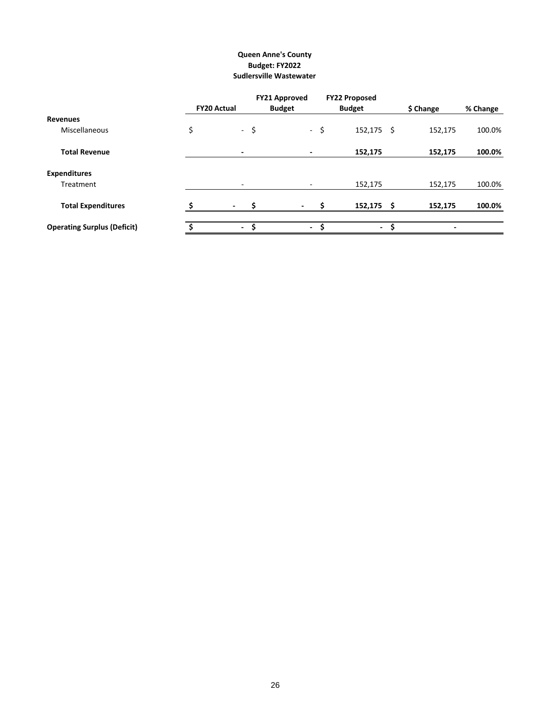## **Sudlersville Wastewater Queen Anne's County Budget: FY2022**

|                                    |    |                     | <b>FY21 Approved</b>     |      | <b>FY22 Proposed</b> |                 |          |
|------------------------------------|----|---------------------|--------------------------|------|----------------------|-----------------|----------|
|                                    |    | <b>FY20 Actual</b>  | <b>Budget</b>            |      | <b>Budget</b>        | \$ Change       | % Change |
| <b>Revenues</b>                    |    |                     |                          |      |                      |                 |          |
| Miscellaneous                      | \$ | $-5$                |                          | $-5$ | $152, 175$ \$        | 152,175         | 100.0%   |
| <b>Total Revenue</b>               |    | ٠                   | ٠                        |      | 152,175              | 152,175         | 100.0%   |
| <b>Expenditures</b>                |    |                     |                          |      |                      |                 |          |
| Treatment                          |    | $\sim$              | $\overline{\phantom{a}}$ |      | 152,175              | 152,175         | 100.0%   |
| <b>Total Expenditures</b>          |    | Ś<br>$\blacksquare$ |                          |      | 152,175              | 152,175<br>- \$ | 100.0%   |
| <b>Operating Surplus (Deficit)</b> | Ŝ. | \$<br>$\sim$        | $\sim$                   | - \$ | - \$                 | ٠               |          |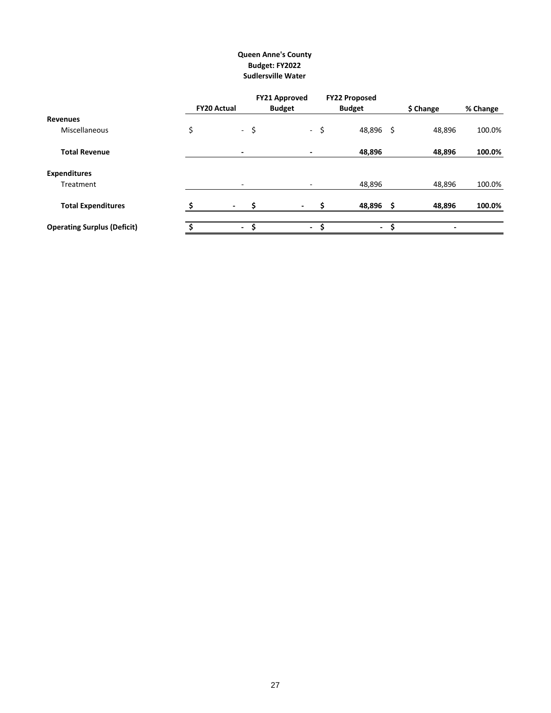# **Queen Anne's County Budget: FY2022 Sudlersville Water**

|                                    |                               | <b>FY21 Approved</b> |     | <b>FY22 Proposed</b> |           |          |
|------------------------------------|-------------------------------|----------------------|-----|----------------------|-----------|----------|
|                                    | <b>FY20 Actual</b>            | <b>Budget</b>        |     | <b>Budget</b>        | \$ Change | % Change |
| Revenues                           |                               |                      |     |                      |           |          |
| Miscellaneous                      | \$<br>$-5$                    | $\sim$               | -\$ | 48,896 \$            | 48,896    | 100.0%   |
| <b>Total Revenue</b>               | $\overline{\phantom{0}}$      | ٠                    |     | 48,896               | 48,896    | 100.0%   |
| <b>Expenditures</b>                |                               |                      |     |                      |           |          |
| Treatment                          | ۰                             | ٠                    |     | 48,896               | 48,896    | 100.0%   |
| <b>Total Expenditures</b>          | Ś<br>$\overline{\phantom{a}}$ |                      |     | 48,896<br>- \$       | 48,896    | 100.0%   |
| <b>Operating Surplus (Deficit)</b> | - \$                          | $\blacksquare$       | Ŝ   | -S<br>$\sim$         |           |          |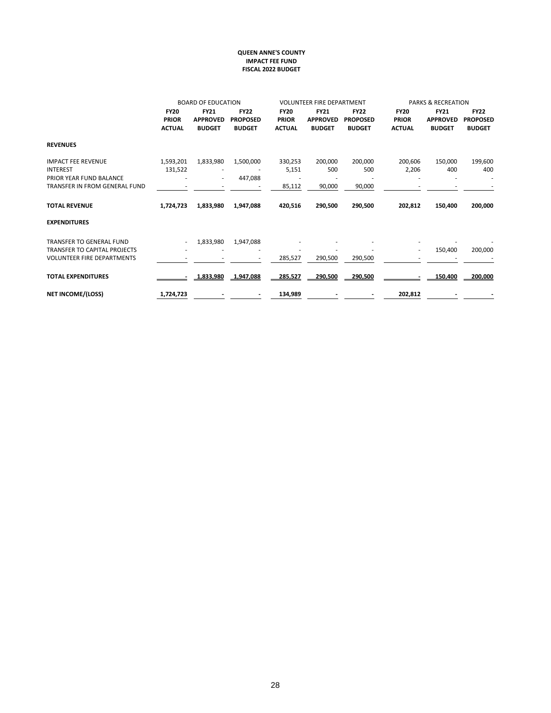#### **QUEEN ANNE'S COUNTY IMPACT FEE FUND FISCAL 2022 BUDGET**

|                                     |               | <b>BOARD OF EDUCATION</b> |                 |               | <b>VOLUNTEER FIRE DEPARTMENT</b> |                 |               | <b>PARKS &amp; RECREATION</b> |                 |
|-------------------------------------|---------------|---------------------------|-----------------|---------------|----------------------------------|-----------------|---------------|-------------------------------|-----------------|
|                                     | <b>FY20</b>   | <b>FY21</b>               | <b>FY22</b>     | <b>FY20</b>   | <b>FY21</b>                      | <b>FY22</b>     | <b>FY20</b>   | <b>FY21</b>                   | <b>FY22</b>     |
|                                     | <b>PRIOR</b>  | <b>APPROVED</b>           | <b>PROPOSED</b> | <b>PRIOR</b>  | <b>APPROVED</b>                  | <b>PROPOSED</b> | <b>PRIOR</b>  | <b>APPROVED</b>               | <b>PROPOSED</b> |
|                                     | <b>ACTUAL</b> | <b>BUDGET</b>             | <b>BUDGET</b>   | <b>ACTUAL</b> | <b>BUDGET</b>                    | <b>BUDGET</b>   | <b>ACTUAL</b> | <b>BUDGET</b>                 | <b>BUDGET</b>   |
| <b>REVENUES</b>                     |               |                           |                 |               |                                  |                 |               |                               |                 |
| <b>IMPACT FEE REVENUE</b>           | 1,593,201     | 1,833,980                 | 1,500,000       | 330,253       | 200,000                          | 200,000         | 200,606       | 150,000                       | 199,600         |
| <b>INTEREST</b>                     | 131,522       |                           |                 | 5,151         | 500                              | 500             | 2,206         | 400                           | 400             |
| PRIOR YEAR FUND BALANCE             |               | ٠                         | 447,088         |               |                                  |                 |               |                               |                 |
| TRANSFER IN FROM GENERAL FUND       |               |                           |                 | 85,112        | 90,000                           | 90,000          |               |                               |                 |
| <b>TOTAL REVENUE</b>                | 1,724,723     | 1,833,980                 | 1,947,088       | 420,516       | 290,500                          | 290,500         | 202,812       | 150,400                       | 200,000         |
| <b>EXPENDITURES</b>                 |               |                           |                 |               |                                  |                 |               |                               |                 |
| <b>TRANSFER TO GENERAL FUND</b>     | $\sim$        | 1,833,980                 | 1,947,088       |               |                                  |                 |               |                               |                 |
| <b>TRANSFER TO CAPITAL PROJECTS</b> |               |                           |                 |               |                                  |                 | ٠             | 150,400                       | 200,000         |
| <b>VOLUNTEER FIRE DEPARTMENTS</b>   |               |                           |                 | 285,527       | 290,500                          | 290,500         |               |                               |                 |
| <b>TOTAL EXPENDITURES</b>           |               | 1.833.980                 | 1.947.088       | 285.527       | $-290.500$                       | $-290.500$      |               | 150.400                       | 200.000         |
| <b>NET INCOME/(LOSS)</b>            | 1,724,723     |                           |                 | 134,989       |                                  |                 | 202,812       |                               |                 |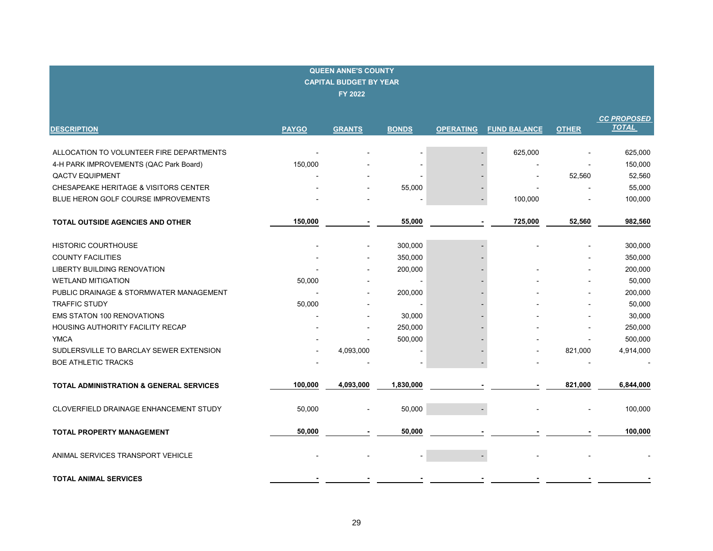| <b>QUEEN ANNE'S COUNTY</b><br><b>CAPITAL BUDGET BY YEAR</b><br>FY 2022 |              |                |                |                  |                     |              |                                    |  |  |  |
|------------------------------------------------------------------------|--------------|----------------|----------------|------------------|---------------------|--------------|------------------------------------|--|--|--|
| <b>DESCRIPTION</b>                                                     | <b>PAYGO</b> | <b>GRANTS</b>  | <b>BONDS</b>   | <b>OPERATING</b> | <b>FUND BALANCE</b> | <b>OTHER</b> | <b>CC PROPOSED</b><br><b>TOTAL</b> |  |  |  |
| ALLOCATION TO VOLUNTEER FIRE DEPARTMENTS                               |              |                |                |                  | 625,000             |              | 625,000                            |  |  |  |
| 4-H PARK IMPROVEMENTS (QAC Park Board)                                 | 150,000      |                |                |                  |                     |              | 150,000                            |  |  |  |
| <b>QACTV EQUIPMENT</b>                                                 |              |                |                |                  |                     | 52,560       | 52,560                             |  |  |  |
| CHESAPEAKE HERITAGE & VISITORS CENTER                                  |              |                | 55,000         |                  |                     |              | 55,000                             |  |  |  |
| BLUE HERON GOLF COURSE IMPROVEMENTS                                    |              |                |                |                  | 100,000             |              | 100,000                            |  |  |  |
| TOTAL OUTSIDE AGENCIES AND OTHER                                       | 150,000      |                | 55,000         |                  | 725,000             | 52,560       | 982,560                            |  |  |  |
| <b>HISTORIC COURTHOUSE</b>                                             |              | $\blacksquare$ | 300,000        |                  |                     |              | 300,000                            |  |  |  |
| <b>COUNTY FACILITIES</b>                                               |              |                | 350,000        |                  |                     |              | 350,000                            |  |  |  |
| LIBERTY BUILDING RENOVATION                                            |              |                | 200,000        |                  |                     |              | 200,000                            |  |  |  |
| <b>WETLAND MITIGATION</b>                                              | 50,000       |                |                |                  |                     |              | 50,000                             |  |  |  |
| PUBLIC DRAINAGE & STORMWATER MANAGEMENT                                |              |                | 200,000        |                  |                     |              | 200,000                            |  |  |  |
| <b>TRAFFIC STUDY</b>                                                   | 50,000       |                |                |                  |                     |              | 50,000                             |  |  |  |
| <b>EMS STATON 100 RENOVATIONS</b>                                      |              |                | 30,000         |                  |                     |              | 30,000                             |  |  |  |
| HOUSING AUTHORITY FACILITY RECAP                                       |              |                | 250,000        |                  |                     |              | 250,000                            |  |  |  |
| <b>YMCA</b>                                                            |              |                | 500,000        |                  |                     |              | 500,000                            |  |  |  |
| SUDLERSVILLE TO BARCLAY SEWER EXTENSION                                |              | 4,093,000      |                |                  |                     | 821,000      | 4,914,000                          |  |  |  |
| <b>BOE ATHLETIC TRACKS</b>                                             |              |                | $\blacksquare$ |                  |                     |              |                                    |  |  |  |
| <b>TOTAL ADMINISTRATION &amp; GENERAL SERVICES</b>                     | 100,000      | 4,093,000      | 1,830,000      |                  |                     | 821,000      | 6,844,000                          |  |  |  |
| CLOVERFIELD DRAINAGE ENHANCEMENT STUDY                                 | 50,000       |                | 50,000         |                  |                     |              | 100,000                            |  |  |  |
| <b>TOTAL PROPERTY MANAGEMENT</b>                                       | 50,000       |                | 50,000         |                  |                     |              | 100,000                            |  |  |  |
| ANIMAL SERVICES TRANSPORT VEHICLE                                      |              |                |                |                  |                     |              |                                    |  |  |  |
| <b>TOTAL ANIMAL SERVICES</b>                                           |              |                |                |                  |                     |              |                                    |  |  |  |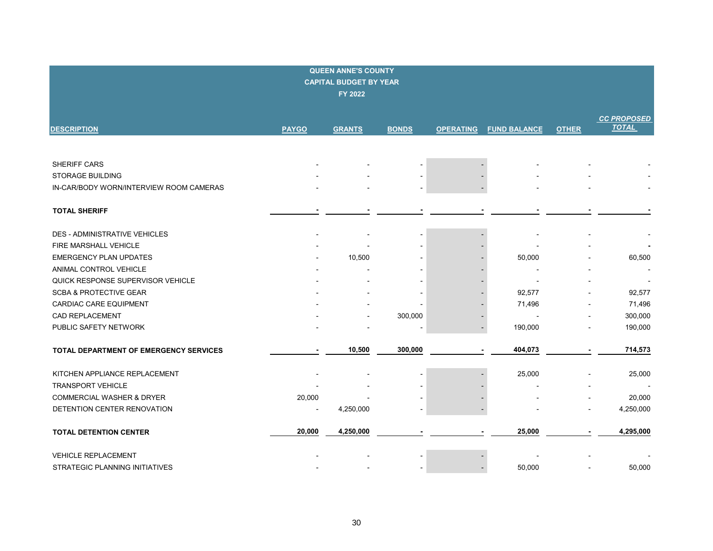| <b>QUEEN ANNE'S COUNTY</b><br><b>CAPITAL BUDGET BY YEAR</b><br>FY 2022 |                          |               |              |                  |                          |              |                                    |  |  |  |  |
|------------------------------------------------------------------------|--------------------------|---------------|--------------|------------------|--------------------------|--------------|------------------------------------|--|--|--|--|
| <b>DESCRIPTION</b>                                                     | <b>PAYGO</b>             | <b>GRANTS</b> | <b>BONDS</b> | <b>OPERATING</b> | <b>FUND BALANCE</b>      | <b>OTHER</b> | <b>CC PROPOSED</b><br><b>TOTAL</b> |  |  |  |  |
|                                                                        |                          |               |              |                  |                          |              |                                    |  |  |  |  |
|                                                                        |                          |               |              |                  |                          |              |                                    |  |  |  |  |
| <b>SHERIFF CARS</b>                                                    |                          |               |              |                  |                          |              |                                    |  |  |  |  |
| <b>STORAGE BUILDING</b>                                                |                          |               |              |                  |                          |              |                                    |  |  |  |  |
| IN-CAR/BODY WORN/INTERVIEW ROOM CAMERAS                                |                          |               |              |                  |                          |              |                                    |  |  |  |  |
| <b>TOTAL SHERIFF</b>                                                   |                          |               |              |                  |                          |              |                                    |  |  |  |  |
| <b>DES - ADMINISTRATIVE VEHICLES</b>                                   |                          |               |              |                  |                          |              |                                    |  |  |  |  |
| FIRE MARSHALL VEHICLE                                                  |                          |               |              |                  |                          |              |                                    |  |  |  |  |
| <b>EMERGENCY PLAN UPDATES</b>                                          |                          | 10,500        |              |                  | 50,000                   |              | 60,500                             |  |  |  |  |
| ANIMAL CONTROL VEHICLE                                                 |                          |               |              |                  |                          |              | $\overline{\phantom{a}}$           |  |  |  |  |
| QUICK RESPONSE SUPERVISOR VEHICLE                                      |                          |               |              |                  |                          |              |                                    |  |  |  |  |
| <b>SCBA &amp; PROTECTIVE GEAR</b>                                      |                          |               |              |                  | 92,577                   |              | 92,577                             |  |  |  |  |
| <b>CARDIAC CARE EQUIPMENT</b>                                          |                          |               |              |                  | 71,496                   |              | 71,496                             |  |  |  |  |
| CAD REPLACEMENT                                                        |                          |               | 300,000      |                  | $\overline{\phantom{a}}$ |              | 300,000                            |  |  |  |  |
| PUBLIC SAFETY NETWORK                                                  |                          |               |              |                  | 190,000                  |              | 190,000                            |  |  |  |  |
|                                                                        |                          |               |              |                  |                          |              |                                    |  |  |  |  |
| <b>TOTAL DEPARTMENT OF EMERGENCY SERVICES</b>                          |                          | 10,500        | 300,000      |                  | 404,073                  |              | 714,573                            |  |  |  |  |
| KITCHEN APPLIANCE REPLACEMENT                                          |                          |               |              |                  | 25,000                   |              | 25,000                             |  |  |  |  |
| <b>TRANSPORT VEHICLE</b>                                               |                          |               |              |                  |                          |              |                                    |  |  |  |  |
| <b>COMMERCIAL WASHER &amp; DRYER</b>                                   | 20,000                   |               |              |                  |                          |              | 20,000                             |  |  |  |  |
| DETENTION CENTER RENOVATION                                            | $\overline{\phantom{a}}$ | 4,250,000     |              |                  |                          |              | 4,250,000                          |  |  |  |  |
| <b>TOTAL DETENTION CENTER</b>                                          | 20,000                   | 4,250,000     |              |                  | 25,000                   |              | 4,295,000                          |  |  |  |  |
| <b>VEHICLE REPLACEMENT</b>                                             |                          |               |              |                  |                          |              |                                    |  |  |  |  |
| STRATEGIC PLANNING INITIATIVES                                         |                          |               |              |                  | 50,000                   |              | 50.000                             |  |  |  |  |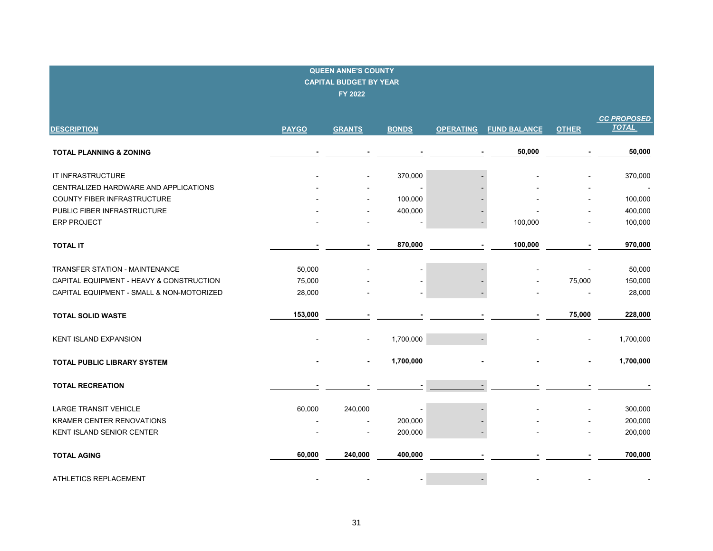| <b>QUEEN ANNE'S COUNTY</b><br><b>CAPITAL BUDGET BY YEAR</b><br>FY 2022 |              |               |              |                          |                     |              |                                    |  |  |  |
|------------------------------------------------------------------------|--------------|---------------|--------------|--------------------------|---------------------|--------------|------------------------------------|--|--|--|
| <b>DESCRIPTION</b>                                                     | <b>PAYGO</b> | <b>GRANTS</b> | <b>BONDS</b> | <b>OPERATING</b>         | <b>FUND BALANCE</b> | <b>OTHER</b> | <b>CC PROPOSED</b><br><b>TOTAL</b> |  |  |  |
| <b>TOTAL PLANNING &amp; ZONING</b>                                     |              |               |              |                          | 50,000              |              | 50,000                             |  |  |  |
| IT INFRASTRUCTURE                                                      |              |               | 370,000      |                          |                     |              | 370,000                            |  |  |  |
| CENTRALIZED HARDWARE AND APPLICATIONS<br>COUNTY FIBER INFRASTRUCTURE   |              |               | 100,000      |                          |                     |              | $\blacksquare$<br>100,000          |  |  |  |
| PUBLIC FIBER INFRASTRUCTURE                                            |              |               | 400,000      |                          |                     |              | 400,000                            |  |  |  |
| <b>ERP PROJECT</b>                                                     |              |               |              |                          | 100,000             |              | 100,000                            |  |  |  |
| <b>TOTAL IT</b>                                                        |              |               | 870,000      |                          | 100,000             |              | 970,000                            |  |  |  |
| <b>TRANSFER STATION - MAINTENANCE</b>                                  | 50,000       |               |              |                          |                     |              | 50,000                             |  |  |  |
| CAPITAL EQUIPMENT - HEAVY & CONSTRUCTION                               | 75,000       |               |              |                          |                     | 75,000       | 150,000                            |  |  |  |
| CAPITAL EQUIPMENT - SMALL & NON-MOTORIZED                              | 28,000       |               |              |                          |                     |              | 28,000                             |  |  |  |
| <b>TOTAL SOLID WASTE</b>                                               | 153,000      |               |              |                          |                     | 75,000       | 228,000                            |  |  |  |
| <b>KENT ISLAND EXPANSION</b>                                           |              |               | 1,700,000    |                          |                     |              | 1,700,000                          |  |  |  |
| TOTAL PUBLIC LIBRARY SYSTEM                                            |              |               | 1,700,000    |                          |                     |              | 1,700,000                          |  |  |  |
| <b>TOTAL RECREATION</b>                                                |              |               |              |                          |                     |              |                                    |  |  |  |
| <b>LARGE TRANSIT VEHICLE</b>                                           | 60,000       | 240,000       |              |                          |                     |              | 300,000                            |  |  |  |
| KRAMER CENTER RENOVATIONS                                              |              |               | 200,000      |                          |                     |              | 200,000                            |  |  |  |
| KENT ISLAND SENIOR CENTER                                              |              |               | 200,000      |                          |                     |              | 200,000                            |  |  |  |
| <b>TOTAL AGING</b>                                                     | 60,000       | 240,000       | 400,000      |                          |                     |              | 700,000                            |  |  |  |
| ATHLETICS REPLACEMENT                                                  |              |               |              | $\overline{\phantom{a}}$ |                     |              |                                    |  |  |  |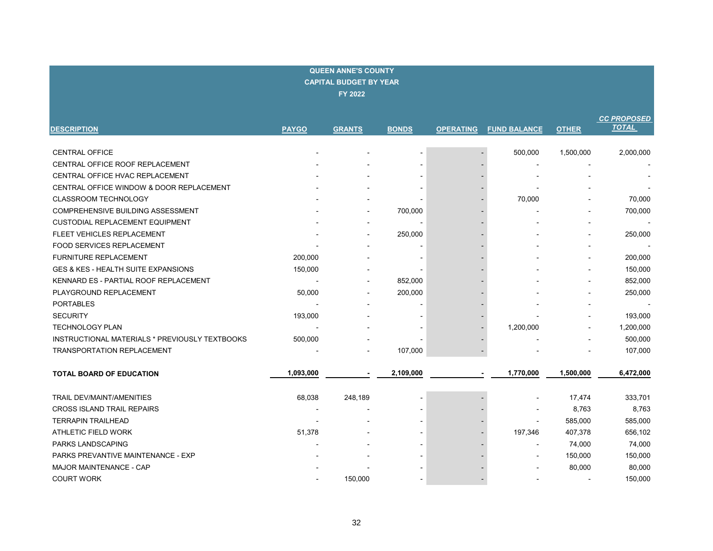| <b>QUEEN ANNE'S COUNTY</b><br><b>CAPITAL BUDGET BY YEAR</b><br><b>FY 2022</b> |              |                |                          |                  |                     |              |                                    |  |  |  |  |
|-------------------------------------------------------------------------------|--------------|----------------|--------------------------|------------------|---------------------|--------------|------------------------------------|--|--|--|--|
| <b>DESCRIPTION</b>                                                            | <b>PAYGO</b> | <b>GRANTS</b>  | <b>BONDS</b>             | <b>OPERATING</b> | <b>FUND BALANCE</b> | <b>OTHER</b> | <b>CC PROPOSED</b><br><b>TOTAL</b> |  |  |  |  |
| <b>CENTRAL OFFICE</b>                                                         |              |                |                          |                  | 500,000             | 1,500,000    | 2,000,000                          |  |  |  |  |
| CENTRAL OFFICE ROOF REPLACEMENT                                               |              |                |                          |                  | $\blacksquare$      |              |                                    |  |  |  |  |
| CENTRAL OFFICE HVAC REPLACEMENT                                               |              |                |                          |                  |                     |              |                                    |  |  |  |  |
| CENTRAL OFFICE WINDOW & DOOR REPLACEMENT                                      |              |                |                          |                  |                     |              |                                    |  |  |  |  |
| <b>CLASSROOM TECHNOLOGY</b>                                                   |              |                |                          |                  | 70,000              |              | 70,000                             |  |  |  |  |
| COMPREHENSIVE BUILDING ASSESSMENT                                             |              |                | 700,000                  |                  |                     |              | 700,000                            |  |  |  |  |
| CUSTODIAL REPLACEMENT EQUIPMENT                                               |              | $\overline{a}$ | $\overline{\phantom{a}}$ |                  |                     |              |                                    |  |  |  |  |
| FLEET VEHICLES REPLACEMENT                                                    |              |                | 250,000                  |                  |                     |              | 250,000                            |  |  |  |  |
| FOOD SERVICES REPLACEMENT                                                     |              |                |                          |                  |                     |              |                                    |  |  |  |  |
| <b>FURNITURE REPLACEMENT</b>                                                  | 200,000      |                |                          |                  |                     |              | 200,000                            |  |  |  |  |
| GES & KES - HEALTH SUITE EXPANSIONS                                           | 150,000      |                |                          |                  |                     |              | 150,000                            |  |  |  |  |
| KENNARD ES - PARTIAL ROOF REPLACEMENT                                         |              |                | 852,000                  |                  |                     |              | 852,000                            |  |  |  |  |
| PLAYGROUND REPLACEMENT                                                        | 50,000       |                | 200,000                  |                  |                     |              | 250,000                            |  |  |  |  |
| <b>PORTABLES</b>                                                              |              |                |                          |                  |                     |              |                                    |  |  |  |  |
| <b>SECURITY</b>                                                               | 193,000      |                |                          |                  |                     |              | 193,000                            |  |  |  |  |
| <b>TECHNOLOGY PLAN</b>                                                        |              |                |                          |                  | 1,200,000           |              | 1,200,000                          |  |  |  |  |
| INSTRUCTIONAL MATERIALS * PREVIOUSLY TEXTBOOKS                                | 500,000      |                |                          |                  |                     |              | 500,000                            |  |  |  |  |
| <b>TRANSPORTATION REPLACEMENT</b>                                             |              |                | 107,000                  |                  |                     |              | 107,000                            |  |  |  |  |
| TOTAL BOARD OF EDUCATION                                                      | 1,093,000    |                | 2,109,000                |                  | 1,770,000           | 1,500,000    | 6,472,000                          |  |  |  |  |
| TRAIL DEV/MAINT/AMENITIES                                                     | 68,038       | 248,189        |                          |                  |                     | 17,474       | 333,701                            |  |  |  |  |
| CROSS ISLAND TRAIL REPAIRS                                                    |              |                |                          |                  |                     | 8,763        | 8,763                              |  |  |  |  |
| <b>TERRAPIN TRAILHEAD</b>                                                     |              |                |                          |                  |                     | 585,000      | 585,000                            |  |  |  |  |
| ATHLETIC FIELD WORK                                                           | 51,378       |                |                          |                  | 197,346             | 407,378      | 656,102                            |  |  |  |  |
| <b>PARKS LANDSCAPING</b>                                                      |              |                |                          |                  | $\blacksquare$      | 74,000       | 74,000                             |  |  |  |  |
| PARKS PREVANTIVE MAINTENANCE - EXP                                            |              |                |                          |                  |                     | 150,000      | 150,000                            |  |  |  |  |
| MAJOR MAINTENANCE - CAP                                                       |              |                |                          |                  |                     | 80,000       | 80,000                             |  |  |  |  |
| <b>COURT WORK</b>                                                             |              | 150,000        |                          |                  |                     |              | 150,000                            |  |  |  |  |

ŀ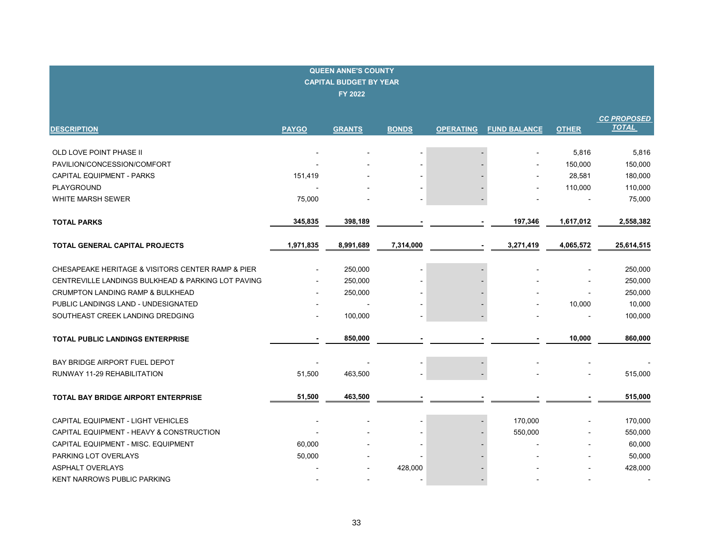| <b>QUEEN ANNE'S COUNTY</b><br><b>CAPITAL BUDGET BY YEAR</b><br><b>FY 2022</b> |              |               |              |                  |                     |              |                                    |  |  |  |  |
|-------------------------------------------------------------------------------|--------------|---------------|--------------|------------------|---------------------|--------------|------------------------------------|--|--|--|--|
| <b>DESCRIPTION</b>                                                            | <b>PAYGO</b> | <b>GRANTS</b> | <b>BONDS</b> | <b>OPERATING</b> | <b>FUND BALANCE</b> | <b>OTHER</b> | <b>CC PROPOSED</b><br><b>TOTAL</b> |  |  |  |  |
|                                                                               |              |               |              |                  |                     |              |                                    |  |  |  |  |
| OLD LOVE POINT PHASE II                                                       |              |               |              |                  |                     | 5,816        | 5,816                              |  |  |  |  |
| PAVILION/CONCESSION/COMFORT                                                   |              |               |              |                  |                     | 150,000      | 150,000                            |  |  |  |  |
| <b>CAPITAL EQUIPMENT - PARKS</b>                                              | 151,419      |               |              |                  |                     | 28,581       | 180,000                            |  |  |  |  |
| PLAYGROUND                                                                    |              |               |              |                  |                     | 110,000      | 110,000                            |  |  |  |  |
| WHITE MARSH SEWER                                                             | 75,000       |               |              |                  |                     |              | 75,000                             |  |  |  |  |
| <b>TOTAL PARKS</b>                                                            | 345,835      | 398,189       |              |                  | 197,346             | 1,617,012    | 2,558,382                          |  |  |  |  |
| TOTAL GENERAL CAPITAL PROJECTS                                                | 1,971,835    | 8,991,689     | 7,314,000    |                  | 3,271,419           | 4,065,572    | 25,614,515                         |  |  |  |  |
|                                                                               |              |               |              |                  |                     |              |                                    |  |  |  |  |
| CHESAPEAKE HERITAGE & VISITORS CENTER RAMP & PIER                             |              | 250,000       |              |                  |                     |              | 250,000                            |  |  |  |  |
| CENTREVILLE LANDINGS BULKHEAD & PARKING LOT PAVING                            |              | 250,000       |              |                  |                     |              | 250,000                            |  |  |  |  |
| CRUMPTON LANDING RAMP & BULKHEAD                                              |              | 250,000       |              |                  |                     |              | 250,000                            |  |  |  |  |
| PUBLIC LANDINGS LAND - UNDESIGNATED                                           |              |               |              |                  |                     | 10,000       | 10,000                             |  |  |  |  |
| SOUTHEAST CREEK LANDING DREDGING                                              |              | 100,000       |              |                  |                     |              | 100,000                            |  |  |  |  |
| <b>TOTAL PUBLIC LANDINGS ENTERPRISE</b>                                       |              | 850,000       |              |                  |                     | 10,000       | 860,000                            |  |  |  |  |
| BAY BRIDGE AIRPORT FUEL DEPOT                                                 |              |               |              |                  |                     |              |                                    |  |  |  |  |
| RUNWAY 11-29 REHABILITATION                                                   | 51,500       | 463,500       |              |                  |                     |              | 515,000                            |  |  |  |  |
| TOTAL BAY BRIDGE AIRPORT ENTERPRISE                                           | 51,500       | 463,500       |              |                  |                     |              | 515,000                            |  |  |  |  |
| CAPITAL EQUIPMENT - LIGHT VEHICLES                                            |              |               |              |                  | 170,000             |              | 170,000                            |  |  |  |  |
| CAPITAL EQUIPMENT - HEAVY & CONSTRUCTION                                      |              |               |              |                  | 550,000             |              | 550,000                            |  |  |  |  |
| CAPITAL EQUIPMENT - MISC. EQUIPMENT                                           | 60,000       |               |              |                  |                     |              | 60,000                             |  |  |  |  |
| PARKING LOT OVERLAYS                                                          | 50,000       |               |              |                  |                     |              | 50,000                             |  |  |  |  |
| <b>ASPHALT OVERLAYS</b>                                                       |              |               | 428,000      |                  |                     |              | 428,000                            |  |  |  |  |
| <b>KENT NARROWS PUBLIC PARKING</b>                                            |              |               |              |                  |                     |              |                                    |  |  |  |  |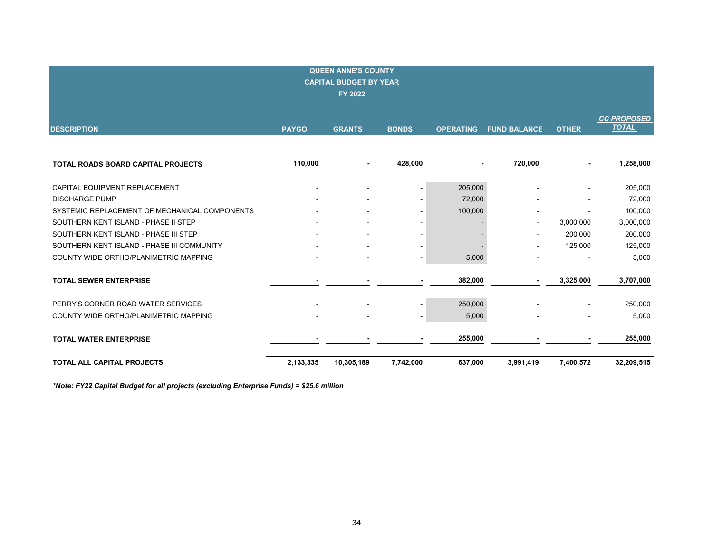| <b>QUEEN ANNE'S COUNTY</b><br><b>CAPITAL BUDGET BY YEAR</b><br><b>FY 2022</b> |              |                          |                          |                  |                          |              |                                    |  |  |  |
|-------------------------------------------------------------------------------|--------------|--------------------------|--------------------------|------------------|--------------------------|--------------|------------------------------------|--|--|--|
| <b>DESCRIPTION</b>                                                            | <b>PAYGO</b> | <b>GRANTS</b>            | <b>BONDS</b>             | <b>OPERATING</b> | <b>FUND BALANCE</b>      | <b>OTHER</b> | <b>CC PROPOSED</b><br><b>TOTAL</b> |  |  |  |
| <b>TOTAL ROADS BOARD CAPITAL PROJECTS</b>                                     | 110,000      |                          | 428,000                  |                  | 720,000                  |              | 1,258,000                          |  |  |  |
| CAPITAL EQUIPMENT REPLACEMENT                                                 |              |                          |                          | 205,000          |                          |              | 205,000                            |  |  |  |
| <b>DISCHARGE PUMP</b>                                                         |              |                          |                          | 72,000           |                          |              | 72,000                             |  |  |  |
| SYSTEMIC REPLACEMENT OF MECHANICAL COMPONENTS                                 |              |                          |                          | 100,000          |                          |              | 100,000                            |  |  |  |
| SOUTHERN KENT ISLAND - PHASE II STEP                                          |              |                          |                          |                  | ٠                        | 3,000,000    | 3,000,000                          |  |  |  |
| SOUTHERN KENT ISLAND - PHASE III STEP                                         |              | $\overline{\phantom{a}}$ |                          |                  | $\overline{\phantom{a}}$ | 200,000      | 200,000                            |  |  |  |
| SOUTHERN KENT ISLAND - PHASE III COMMUNITY                                    |              |                          |                          |                  |                          | 125,000      | 125,000                            |  |  |  |
| COUNTY WIDE ORTHO/PLANIMETRIC MAPPING                                         |              |                          |                          | 5,000            |                          |              | 5,000                              |  |  |  |
| <b>TOTAL SEWER ENTERPRISE</b>                                                 |              |                          |                          | 382,000          |                          | 3,325,000    | 3,707,000                          |  |  |  |
| PERRY'S CORNER ROAD WATER SERVICES                                            |              |                          |                          | 250,000          |                          |              | 250,000                            |  |  |  |
| COUNTY WIDE ORTHO/PLANIMETRIC MAPPING                                         |              |                          | $\overline{\phantom{a}}$ | 5,000            |                          |              | 5,000                              |  |  |  |
| <b>TOTAL WATER ENTERPRISE</b>                                                 |              |                          |                          | 255,000          |                          |              | 255,000                            |  |  |  |
| <b>TOTAL ALL CAPITAL PROJECTS</b>                                             | 2,133,335    | 10,305,189               | 7,742,000                | 637,000          | 3,991,419                | 7,400,572    | 32,209,515                         |  |  |  |

*\*Note: FY22 Capital Budget for all projects (excluding Enterprise Funds) = \$25.6 million*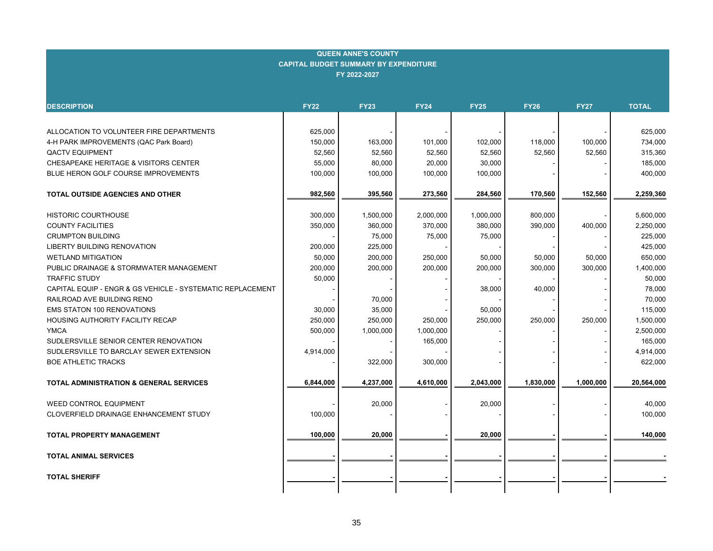| <b>DESCRIPTION</b>                                         | <b>FY22</b> | <b>FY23</b> | <b>FY24</b> | <b>FY25</b> | <b>FY26</b> | <b>FY27</b> | <b>TOTAL</b> |
|------------------------------------------------------------|-------------|-------------|-------------|-------------|-------------|-------------|--------------|
|                                                            |             |             |             |             |             |             |              |
| ALLOCATION TO VOLUNTEER FIRE DEPARTMENTS                   | 625,000     |             |             |             |             |             | 625,000      |
| 4-H PARK IMPROVEMENTS (QAC Park Board)                     | 150,000     | 163,000     | 101,000     | 102,000     | 118,000     | 100,000     | 734,000      |
| <b>QACTV EQUIPMENT</b>                                     | 52,560      | 52,560      | 52,560      | 52,560      | 52,560      | 52,560      | 315,360      |
| CHESAPEAKE HERITAGE & VISITORS CENTER                      | 55,000      | 80,000      | 20,000      | 30,000      |             |             | 185,000      |
| BLUE HERON GOLF COURSE IMPROVEMENTS                        | 100,000     | 100,000     | 100,000     | 100,000     |             |             | 400,000      |
|                                                            |             |             |             |             |             |             |              |
| <b>TOTAL OUTSIDE AGENCIES AND OTHER</b>                    | 982,560     | 395,560     | 273,560     | 284,560     | 170,560     | 152,560     | 2,259,360    |
|                                                            |             |             |             |             |             |             |              |
| <b>HISTORIC COURTHOUSE</b>                                 | 300,000     | 1,500,000   | 2,000,000   | 1,000,000   | 800,000     |             | 5,600,000    |
| <b>COUNTY FACILITIES</b>                                   | 350,000     | 360,000     | 370,000     | 380,000     | 390,000     | 400,000     | 2,250,000    |
| <b>CRUMPTON BUILDING</b>                                   |             | 75,000      | 75,000      | 75,000      |             |             | 225,000      |
| LIBERTY BUILDING RENOVATION                                | 200,000     | 225,000     |             |             |             |             | 425,000      |
| <b>WETLAND MITIGATION</b>                                  | 50,000      | 200,000     | 250,000     | 50,000      | 50,000      | 50,000      | 650,000      |
| PUBLIC DRAINAGE & STORMWATER MANAGEMENT                    | 200,000     | 200,000     | 200,000     | 200,000     | 300,000     | 300,000     | 1,400,000    |
| <b>TRAFFIC STUDY</b>                                       | 50,000      |             |             |             |             |             | 50,000       |
| CAPITAL EQUIP - ENGR & GS VEHICLE - SYSTEMATIC REPLACEMENT |             |             |             | 38,000      | 40,000      |             | 78,000       |
| RAILROAD AVE BUILDING RENO                                 |             | 70,000      |             |             |             |             | 70,000       |
| <b>EMS STATON 100 RENOVATIONS</b>                          | 30,000      | 35,000      |             | 50,000      |             |             | 115,000      |
| HOUSING AUTHORITY FACILITY RECAP                           | 250,000     | 250,000     | 250,000     | 250,000     | 250,000     | 250,000     | 1,500,000    |
| <b>YMCA</b>                                                | 500,000     | 1,000,000   | 1,000,000   |             |             |             | 2,500,000    |
| SUDLERSVILLE SENIOR CENTER RENOVATION                      |             |             | 165,000     |             |             |             | 165,000      |
| SUDLERSVILLE TO BARCLAY SEWER EXTENSION                    | 4,914,000   |             |             |             |             |             | 4,914,000    |
| <b>BOE ATHLETIC TRACKS</b>                                 |             | 322,000     | 300,000     |             |             |             | 622,000      |
| <b>TOTAL ADMINISTRATION &amp; GENERAL SERVICES</b>         | 6,844,000   | 4,237,000   | 4,610,000   | 2,043,000   | 1,830,000   | 1,000,000   | 20,564,000   |
|                                                            |             |             |             |             |             |             |              |
| <b>WEED CONTROL EQUIPMENT</b>                              |             | 20,000      |             | 20,000      |             |             | 40,000       |
| CLOVERFIELD DRAINAGE ENHANCEMENT STUDY                     | 100,000     |             |             |             |             |             | 100,000      |
|                                                            |             |             |             |             |             |             |              |
| <b>TOTAL PROPERTY MANAGEMENT</b>                           | 100,000     | 20,000      |             | 20,000      |             |             | 140,000      |
|                                                            |             |             |             |             |             |             |              |
| <b>TOTAL ANIMAL SERVICES</b>                               |             |             |             |             |             |             |              |
|                                                            |             |             |             |             |             |             |              |
| <b>TOTAL SHERIFF</b>                                       |             |             |             |             |             |             |              |
|                                                            |             |             |             |             |             |             |              |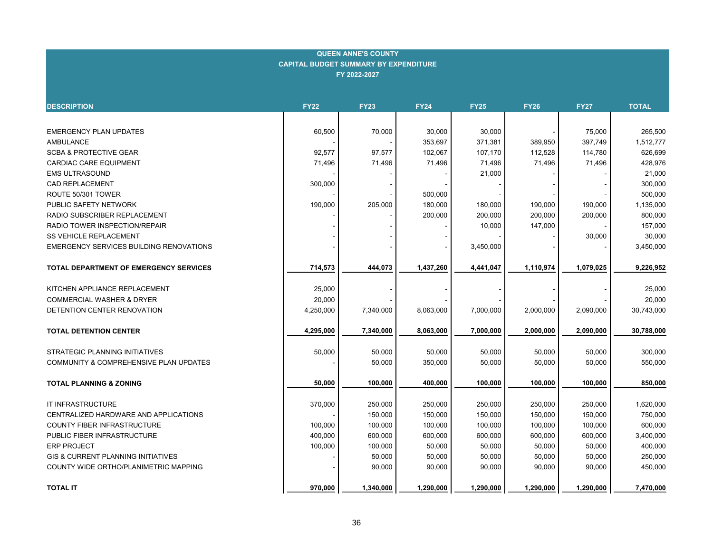| <b>DESCRIPTION</b>                             | <b>FY22</b> | <b>FY23</b> | <b>FY24</b> | <b>FY25</b> | <b>FY26</b> | <b>FY27</b> | <b>TOTAL</b> |
|------------------------------------------------|-------------|-------------|-------------|-------------|-------------|-------------|--------------|
|                                                |             |             |             |             |             |             |              |
| <b>EMERGENCY PLAN UPDATES</b>                  | 60,500      | 70,000      | 30,000      | 30,000      |             | 75,000      | 265,500      |
| <b>AMBULANCE</b>                               |             |             | 353,697     | 371,381     | 389,950     | 397,749     | 1,512,777    |
| <b>SCBA &amp; PROTECTIVE GEAR</b>              | 92,577      | 97,577      | 102,067     | 107,170     | 112,528     | 114,780     | 626,699      |
| <b>CARDIAC CARE EQUIPMENT</b>                  | 71,496      | 71,496      | 71,496      | 71,496      | 71,496      | 71,496      | 428,976      |
| <b>EMS ULTRASOUND</b>                          |             |             |             | 21,000      |             |             | 21,000       |
| <b>CAD REPLACEMENT</b>                         | 300,000     |             |             |             |             |             | 300,000      |
| ROUTE 50/301 TOWER                             |             |             | 500,000     |             |             |             | 500,000      |
| PUBLIC SAFETY NETWORK                          | 190,000     | 205,000     | 180,000     | 180,000     | 190,000     | 190,000     | 1,135,000    |
| RADIO SUBSCRIBER REPLACEMENT                   |             |             | 200,000     | 200,000     | 200,000     | 200,000     | 800,000      |
| RADIO TOWER INSPECTION/REPAIR                  |             |             |             | 10,000      | 147,000     |             | 157,000      |
| <b>SS VEHICLE REPLACEMENT</b>                  |             |             |             |             |             | 30,000      | 30,000       |
| <b>EMERGENCY SERVICES BUILDING RENOVATIONS</b> |             |             |             | 3,450,000   |             |             | 3,450,000    |
| <b>TOTAL DEPARTMENT OF EMERGENCY SERVICES</b>  | 714,573     | 444,073     | 1,437,260   | 4,441,047   | 1,110,974   | 1,079,025   | 9,226,952    |
| KITCHEN APPLIANCE REPLACEMENT                  | 25,000      |             |             |             |             |             | 25,000       |
| <b>COMMERCIAL WASHER &amp; DRYER</b>           | 20,000      |             |             |             |             |             | 20,000       |
| DETENTION CENTER RENOVATION                    | 4,250,000   | 7,340,000   | 8,063,000   | 7,000,000   | 2,000,000   | 2,090,000   | 30,743,000   |
|                                                |             |             |             |             |             |             |              |
| <b>TOTAL DETENTION CENTER</b>                  | 4,295,000   | 7,340,000   | 8,063,000   | 7,000,000   | 2,000,000   | 2,090,000   | 30,788,000   |
| STRATEGIC PLANNING INITIATIVES                 | 50,000      | 50,000      | 50,000      | 50,000      | 50,000      | 50,000      | 300,000      |
| COMMUNITY & COMPREHENSIVE PLAN UPDATES         |             | 50,000      | 350,000     | 50,000      | 50,000      | 50,000      | 550,000      |
| <b>TOTAL PLANNING &amp; ZONING</b>             | 50,000      | 100,000     | 400,000     | 100,000     | 100,000     | 100,000     | 850,000      |
|                                                |             |             |             |             |             |             |              |
| IT INFRASTRUCTURE                              | 370,000     | 250,000     | 250,000     | 250,000     | 250,000     | 250,000     | 1,620,000    |
| CENTRALIZED HARDWARE AND APPLICATIONS          |             | 150,000     | 150,000     | 150,000     | 150,000     | 150,000     | 750,000      |
| <b>COUNTY FIBER INFRASTRUCTURE</b>             | 100,000     | 100,000     | 100,000     | 100,000     | 100,000     | 100,000     | 600,000      |
| PUBLIC FIBER INFRASTRUCTURE                    | 400,000     | 600,000     | 600,000     | 600,000     | 600,000     | 600,000     | 3,400,000    |
| <b>ERP PROJECT</b>                             | 100,000     | 100,000     | 50,000      | 50,000      | 50,000      | 50,000      | 400,000      |
| <b>GIS &amp; CURRENT PLANNING INITIATIVES</b>  |             | 50,000      | 50,000      | 50,000      | 50,000      | 50,000      | 250,000      |
| COUNTY WIDE ORTHO/PLANIMETRIC MAPPING          |             | 90,000      | 90,000      | 90,000      | 90,000      | 90,000      | 450,000      |
| <b>TOTAL IT</b>                                | 970,000     | 1,340,000   | 1,290,000   | 1,290,000   | 1,290,000   | 1,290,000   | 7,470,000    |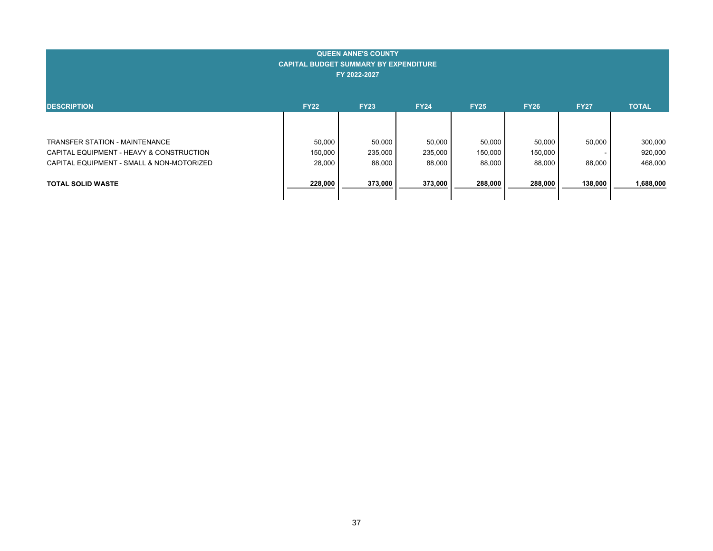| <b>QUEEN ANNE'S COUNTY</b><br><b>CAPITAL BUDGET SUMMARY BY EXPENDITURE</b><br>FY 2022-2027                                     |                             |                             |                             |                             |                             |                  |                               |  |  |
|--------------------------------------------------------------------------------------------------------------------------------|-----------------------------|-----------------------------|-----------------------------|-----------------------------|-----------------------------|------------------|-------------------------------|--|--|
| <b>DESCRIPTION</b>                                                                                                             | <b>FY22</b>                 | <b>FY23</b>                 | <b>FY24</b>                 | <b>FY25</b>                 | <b>FY26</b>                 | <b>FY27</b>      | <b>TOTAL</b>                  |  |  |
| <b>TRANSFER STATION - MAINTENANCE</b><br>CAPITAL EQUIPMENT - HEAVY & CONSTRUCTION<br>CAPITAL EQUIPMENT - SMALL & NON-MOTORIZED | 50,000<br>150,000<br>28,000 | 50,000<br>235,000<br>88,000 | 50,000<br>235,000<br>88,000 | 50,000<br>150,000<br>88,000 | 50,000<br>150,000<br>88,000 | 50,000<br>88,000 | 300,000<br>920,000<br>468,000 |  |  |
| <b>TOTAL SOLID WASTE</b>                                                                                                       | 228,000                     | 373,000                     | 373,000                     | 288,000                     | 288,000                     | 138,000          | 1,688,000                     |  |  |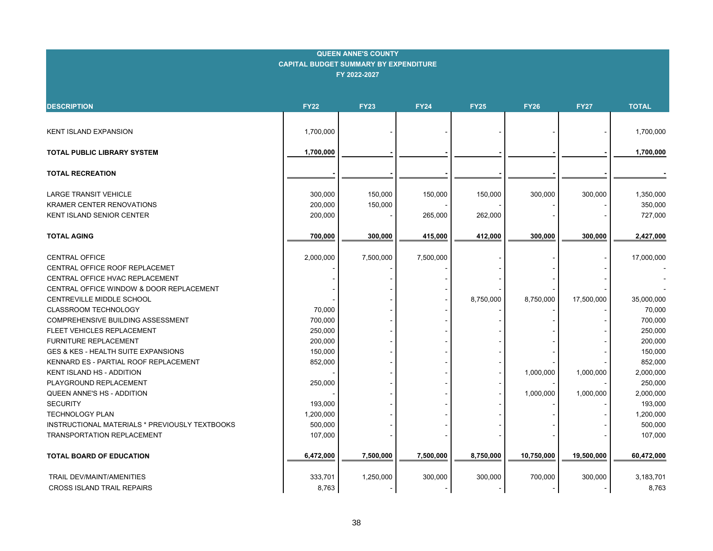| <b>DESCRIPTION</b>                                    | <b>FY22</b> | <b>FY23</b> | <b>FY24</b> | <b>FY25</b> | <b>FY26</b> | <b>FY27</b> | <b>TOTAL</b> |
|-------------------------------------------------------|-------------|-------------|-------------|-------------|-------------|-------------|--------------|
|                                                       |             |             |             |             |             |             |              |
| <b>KENT ISLAND EXPANSION</b>                          | 1,700,000   |             |             |             |             |             | 1,700,000    |
|                                                       |             |             |             |             |             |             |              |
| <b>TOTAL PUBLIC LIBRARY SYSTEM</b>                    | 1,700,000   |             |             |             |             |             | 1,700,000    |
| <b>TOTAL RECREATION</b>                               |             |             |             |             |             |             |              |
|                                                       |             |             |             |             |             |             |              |
| <b>LARGE TRANSIT VEHICLE</b>                          | 300,000     | 150,000     | 150,000     | 150,000     | 300,000     | 300,000     | 1,350,000    |
| <b>KRAMER CENTER RENOVATIONS</b>                      | 200,000     | 150,000     |             |             |             |             | 350,000      |
| KENT ISLAND SENIOR CENTER                             | 200,000     |             | 265,000     | 262,000     |             |             | 727,000      |
| <b>TOTAL AGING</b>                                    | 700,000     | 300,000     | 415,000     | 412,000     | 300,000     | 300,000     | 2,427,000    |
|                                                       |             |             |             |             |             |             |              |
| <b>CENTRAL OFFICE</b>                                 | 2,000,000   | 7,500,000   | 7,500,000   |             |             |             | 17,000,000   |
| CENTRAL OFFICE ROOF REPLACEMET                        |             |             |             |             |             |             |              |
| CENTRAL OFFICE HVAC REPLACEMENT                       |             |             |             |             |             |             |              |
| CENTRAL OFFICE WINDOW & DOOR REPLACEMENT              |             |             |             |             |             |             |              |
| CENTREVILLE MIDDLE SCHOOL                             |             |             |             | 8,750,000   | 8,750,000   | 17,500,000  | 35,000,000   |
| CLASSROOM TECHNOLOGY                                  | 70,000      |             |             |             |             |             | 70,000       |
| COMPREHENSIVE BUILDING ASSESSMENT                     | 700,000     |             |             |             |             |             | 700,000      |
| FLEET VEHICLES REPLACEMENT                            | 250,000     |             |             |             |             |             | 250,000      |
| <b>FURNITURE REPLACEMENT</b>                          | 200,000     |             |             |             |             |             | 200,000      |
| GES & KES - HEALTH SUITE EXPANSIONS                   | 150,000     |             |             |             |             |             | 150,000      |
| KENNARD ES - PARTIAL ROOF REPLACEMENT                 | 852,000     |             |             |             |             |             | 852,000      |
| KENT ISLAND HS - ADDITION                             |             |             |             |             | 1,000,000   | 1,000,000   | 2,000,000    |
| PLAYGROUND REPLACEMENT                                | 250,000     |             |             |             |             |             | 250,000      |
| QUEEN ANNE'S HS - ADDITION                            |             |             |             |             | 1,000,000   | 1,000,000   | 2,000,000    |
| <b>SECURITY</b>                                       | 193,000     |             |             |             |             |             | 193,000      |
| <b>TECHNOLOGY PLAN</b>                                | 1,200,000   |             |             |             |             |             | 1,200,000    |
| <b>INSTRUCTIONAL MATERIALS * PREVIOUSLY TEXTBOOKS</b> | 500,000     |             |             |             |             |             | 500,000      |
| <b>TRANSPORTATION REPLACEMENT</b>                     | 107,000     |             |             |             |             |             | 107,000      |
| <b>TOTAL BOARD OF EDUCATION</b>                       | 6,472,000   | 7,500,000   | 7,500,000   | 8,750,000   | 10,750,000  | 19,500,000  | 60,472,000   |
| TRAIL DEV/MAINT/AMENITIES                             | 333,701     | 1,250,000   | 300,000     | 300,000     | 700,000     | 300,000     | 3,183,701    |
| <b>CROSS ISLAND TRAIL REPAIRS</b>                     | 8,763       |             |             |             |             |             | 8,763        |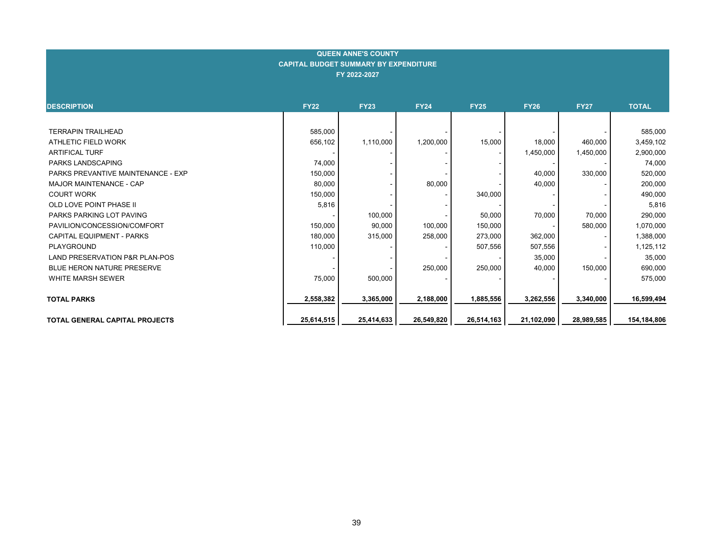| <b>DESCRIPTION</b>                        | <b>FY22</b> | <b>FY23</b> | <b>FY24</b> | <b>FY25</b> | <b>FY26</b> | <b>FY27</b> | <b>TOTAL</b> |
|-------------------------------------------|-------------|-------------|-------------|-------------|-------------|-------------|--------------|
|                                           |             |             |             |             |             |             |              |
| <b>TERRAPIN TRAILHEAD</b>                 | 585,000     |             |             |             |             |             | 585,000      |
| ATHLETIC FIELD WORK                       | 656,102     | 1,110,000   | 1,200,000   | 15,000      | 18,000      | 460,000     | 3,459,102    |
| <b>ARTIFICAL TURF</b>                     |             |             |             |             | 1,450,000   | 1,450,000   | 2,900,000    |
| PARKS LANDSCAPING                         | 74,000      |             |             |             |             |             | 74,000       |
| PARKS PREVANTIVE MAINTENANCE - EXP        | 150,000     |             |             |             | 40,000      | 330,000     | 520,000      |
| MAJOR MAINTENANCE - CAP                   | 80,000      |             | 80,000      |             | 40,000      |             | 200,000      |
| <b>COURT WORK</b>                         | 150,000     |             |             | 340,000     |             |             | 490,000      |
| <b>OLD LOVE POINT PHASE II</b>            | 5,816       |             |             |             |             |             | 5,816        |
| PARKS PARKING LOT PAVING                  |             | 100,000     |             | 50,000      | 70,000      | 70,000      | 290,000      |
| PAVILION/CONCESSION/COMFORT               | 150,000     | 90,000      | 100,000     | 150,000     |             | 580,000     | 1,070,000    |
| <b>CAPITAL EQUIPMENT - PARKS</b>          | 180,000     | 315,000     | 258,000     | 273,000     | 362,000     |             | 1,388,000    |
| PLAYGROUND                                | 110,000     |             |             | 507,556     | 507,556     |             | 1,125,112    |
| <b>LAND PRESERVATION P&amp;R PLAN-POS</b> |             |             |             |             | 35,000      |             | 35,000       |
| <b>BLUE HERON NATURE PRESERVE</b>         |             |             | 250,000     | 250,000     | 40,000      | 150,000     | 690,000      |
| WHITE MARSH SEWER                         | 75,000      | 500,000     |             |             |             |             | 575,000      |
| <b>TOTAL PARKS</b>                        | 2,558,382   | 3,365,000   | 2,188,000   | 1,885,556   | 3,262,556   | 3,340,000   | 16,599,494   |
| TOTAL GENERAL CAPITAL PROJECTS            | 25,614,515  | 25,414,633  | 26,549,820  | 26,514,163  | 21,102,090  | 28,989,585  | 154,184,806  |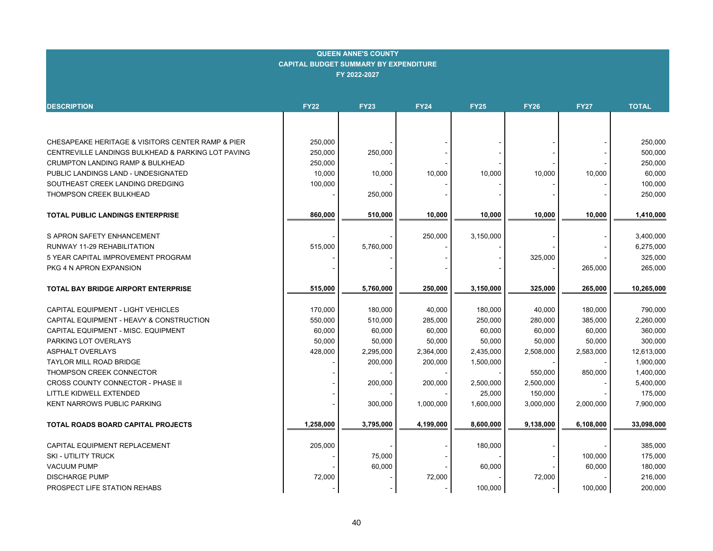| <b>QUEEN ANNE'S COUNTY</b><br><b>CAPITAL BUDGET SUMMARY BY EXPENDITURE</b><br>FY 2022-2027 |             |             |             |             |             |             |                        |  |  |  |  |  |
|--------------------------------------------------------------------------------------------|-------------|-------------|-------------|-------------|-------------|-------------|------------------------|--|--|--|--|--|
|                                                                                            |             |             |             |             |             |             |                        |  |  |  |  |  |
| <b>DESCRIPTION</b>                                                                         | <b>FY22</b> | <b>FY23</b> | <b>FY24</b> | <b>FY25</b> | <b>FY26</b> | <b>FY27</b> | <b>TOTAL</b>           |  |  |  |  |  |
|                                                                                            |             |             |             |             |             |             |                        |  |  |  |  |  |
|                                                                                            |             |             |             |             |             |             |                        |  |  |  |  |  |
| CHESAPEAKE HERITAGE & VISITORS CENTER RAMP & PIER                                          | 250,000     |             |             |             |             |             | 250,000                |  |  |  |  |  |
| CENTREVILLE LANDINGS BULKHEAD & PARKING LOT PAVING                                         | 250,000     | 250,000     |             |             |             |             | 500,000                |  |  |  |  |  |
| CRUMPTON LANDING RAMP & BULKHEAD                                                           | 250,000     |             |             |             |             |             | 250,000                |  |  |  |  |  |
| PUBLIC LANDINGS LAND - UNDESIGNATED                                                        | 10,000      | 10,000      | 10,000      | 10,000      | 10,000      | 10,000      | 60,000                 |  |  |  |  |  |
| SOUTHEAST CREEK LANDING DREDGING                                                           | 100,000     |             |             |             |             |             | 100,000                |  |  |  |  |  |
| THOMPSON CREEK BULKHEAD                                                                    |             | 250,000     |             |             |             |             | 250,000                |  |  |  |  |  |
|                                                                                            | 860,000     | 510,000     | 10,000      | 10,000      | 10,000      | 10,000      | 1,410,000              |  |  |  |  |  |
| <b>TOTAL PUBLIC LANDINGS ENTERPRISE</b>                                                    |             |             |             |             |             |             |                        |  |  |  |  |  |
| S APRON SAFETY ENHANCEMENT                                                                 |             |             | 250,000     | 3,150,000   |             |             | 3,400,000              |  |  |  |  |  |
| RUNWAY 11-29 REHABILITATION                                                                | 515,000     | 5,760,000   |             |             |             |             | 6,275,000              |  |  |  |  |  |
| 5 YEAR CAPITAL IMPROVEMENT PROGRAM                                                         |             |             |             |             | 325,000     |             | 325,000                |  |  |  |  |  |
| PKG 4 N APRON EXPANSION                                                                    |             |             |             |             |             | 265,000     | 265,000                |  |  |  |  |  |
|                                                                                            |             |             |             |             |             |             |                        |  |  |  |  |  |
| <b>TOTAL BAY BRIDGE AIRPORT ENTERPRISE</b>                                                 | 515,000     | 5,760,000   | 250,000     | 3,150,000   | 325,000     | 265,000     | 10,265,000             |  |  |  |  |  |
|                                                                                            |             |             |             |             |             |             |                        |  |  |  |  |  |
| CAPITAL EQUIPMENT - LIGHT VEHICLES                                                         | 170,000     | 180,000     | 40,000      | 180,000     | 40,000      | 180,000     | 790,000                |  |  |  |  |  |
| CAPITAL EQUIPMENT - HEAVY & CONSTRUCTION                                                   | 550,000     | 510,000     | 285,000     | 250,000     | 280,000     | 385,000     | 2,260,000              |  |  |  |  |  |
| CAPITAL EQUIPMENT - MISC. EQUIPMENT                                                        | 60,000      | 60,000      | 60,000      | 60,000      | 60,000      | 60,000      | 360,000                |  |  |  |  |  |
| PARKING LOT OVERLAYS                                                                       | 50,000      | 50,000      | 50,000      | 50,000      | 50,000      | 50,000      | 300,000                |  |  |  |  |  |
| <b>ASPHALT OVERLAYS</b><br><b>TAYLOR MILL ROAD BRIDGE</b>                                  | 428,000     | 2,295,000   | 2,364,000   | 2,435,000   | 2,508,000   | 2,583,000   | 12,613,000             |  |  |  |  |  |
| THOMPSON CREEK CONNECTOR                                                                   |             | 200,000     | 200,000     | 1,500,000   | 550,000     | 850,000     | 1,900,000<br>1,400,000 |  |  |  |  |  |
| CROSS COUNTY CONNECTOR - PHASE II                                                          |             | 200,000     | 200,000     | 2,500,000   | 2,500,000   |             | 5,400,000              |  |  |  |  |  |
| LITTLE KIDWELL EXTENDED                                                                    |             |             |             | 25,000      | 150,000     |             | 175,000                |  |  |  |  |  |
| KENT NARROWS PUBLIC PARKING                                                                |             | 300,000     | 1,000,000   | 1,600,000   | 3,000,000   | 2,000,000   | 7,900,000              |  |  |  |  |  |
|                                                                                            |             |             |             |             |             |             |                        |  |  |  |  |  |
| TOTAL ROADS BOARD CAPITAL PROJECTS                                                         | 1,258,000   | 3,795,000   | 4,199,000   | 8,600,000   | 9,138,000   | 6,108,000   | 33,098,000             |  |  |  |  |  |
|                                                                                            |             |             |             |             |             |             |                        |  |  |  |  |  |
| CAPITAL EQUIPMENT REPLACEMENT                                                              | 205,000     |             |             | 180,000     |             |             | 385,000                |  |  |  |  |  |
| SKI - UTILITY TRUCK                                                                        |             | 75,000      |             |             |             | 100,000     | 175,000                |  |  |  |  |  |
| <b>VACUUM PUMP</b>                                                                         |             | 60,000      |             | 60,000      |             | 60,000      | 180,000                |  |  |  |  |  |
| <b>DISCHARGE PUMP</b>                                                                      | 72,000      |             | 72,000      |             | 72,000      |             | 216,000                |  |  |  |  |  |
| PROSPECT LIFE STATION REHABS                                                               |             |             |             | 100,000     |             | 100,000     | 200,000                |  |  |  |  |  |